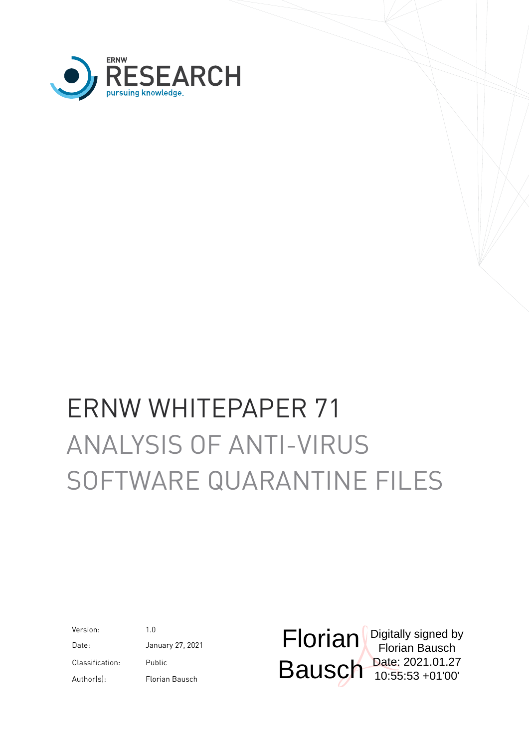

# ERNW WHITEPAPER 71 ANALYSIS OF ANTI-VIRUS SOFTWARE QUARANTINE FILES

Version: 1.0 Classification: Public

Date: January 27, 2021 Author(s): Florian Bausch

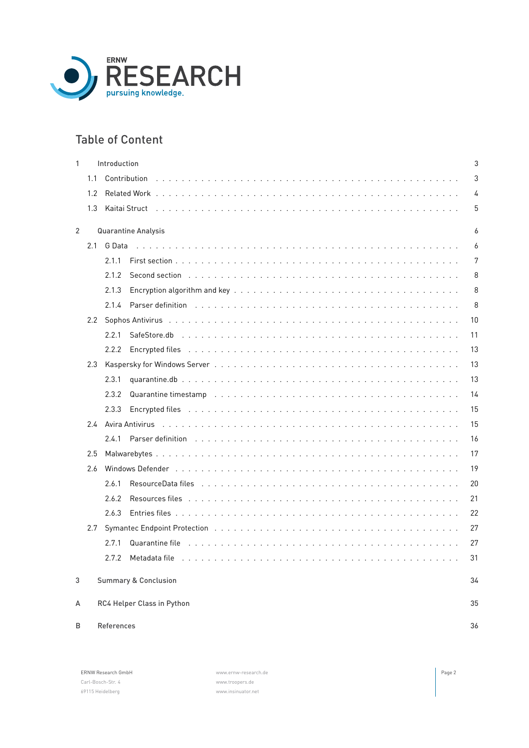

# Table of Content

| 1              |     | Introduction<br>3                                                                                                                                                                                                                             |                |  |  |  |  |  |
|----------------|-----|-----------------------------------------------------------------------------------------------------------------------------------------------------------------------------------------------------------------------------------------------|----------------|--|--|--|--|--|
|                | 1.1 |                                                                                                                                                                                                                                               | 3              |  |  |  |  |  |
|                | 1.2 |                                                                                                                                                                                                                                               | 4              |  |  |  |  |  |
|                | 1.3 |                                                                                                                                                                                                                                               | 5              |  |  |  |  |  |
| $\overline{2}$ |     | <b>Quarantine Analysis</b>                                                                                                                                                                                                                    | 6              |  |  |  |  |  |
|                | 2.1 | G Data                                                                                                                                                                                                                                        | 6              |  |  |  |  |  |
|                |     | 2.1.1                                                                                                                                                                                                                                         | $\overline{7}$ |  |  |  |  |  |
|                |     | 2.1.2<br>Second section (b) and a section of the second section of the second section of the second section of the section of the section of the section of the section of the section of the section of the section of the section of        | 8              |  |  |  |  |  |
|                |     | 2.1.3                                                                                                                                                                                                                                         | 8              |  |  |  |  |  |
|                |     | 2.1.4                                                                                                                                                                                                                                         | 8              |  |  |  |  |  |
|                |     |                                                                                                                                                                                                                                               | 10             |  |  |  |  |  |
|                |     | 2.2.1                                                                                                                                                                                                                                         | 11             |  |  |  |  |  |
|                |     | 2.2.2                                                                                                                                                                                                                                         | 13             |  |  |  |  |  |
|                | 2.3 |                                                                                                                                                                                                                                               | 13             |  |  |  |  |  |
|                |     | 2.3.1                                                                                                                                                                                                                                         | 13             |  |  |  |  |  |
|                |     | 2.3.2<br>Quarantine timestamp (educational contract of the contract of the contract of the contract of the contract of the contract of the contract of the contract of the contract of the contract of the contract of the contract of        | 14             |  |  |  |  |  |
|                |     | 2.3.3                                                                                                                                                                                                                                         | 15             |  |  |  |  |  |
|                |     |                                                                                                                                                                                                                                               | 15             |  |  |  |  |  |
|                |     | Parser definition <i>and a contract of the contract of the contract of the contract of the contract of the contract</i><br>2.4.1                                                                                                              | 16             |  |  |  |  |  |
|                | 2.5 |                                                                                                                                                                                                                                               | 17             |  |  |  |  |  |
|                | 2.6 |                                                                                                                                                                                                                                               |                |  |  |  |  |  |
|                |     | ResourceData files responses in the contract of the contract of the contract of the contract of the contract of the contract of the contract of the contract of the contract of the contract of the contract of the contract o<br>2.6.1       | 20             |  |  |  |  |  |
|                |     | 2.6.2                                                                                                                                                                                                                                         | 21             |  |  |  |  |  |
|                |     | 2.6.3                                                                                                                                                                                                                                         | 22             |  |  |  |  |  |
|                | 2.7 |                                                                                                                                                                                                                                               | 27             |  |  |  |  |  |
|                |     | Quarantine file <i>and a contract of the contract of the contract of the contract of the contract of the contract of the contract of the contract of the contract of the contract of the contract of the contract of the contrac</i><br>2.7.1 | 27             |  |  |  |  |  |
|                |     | 2.7.2 Metadata file                                                                                                                                                                                                                           | 31             |  |  |  |  |  |
| 3              |     | <b>Summary &amp; Conclusion</b>                                                                                                                                                                                                               | 34             |  |  |  |  |  |
| А              |     | RC4 Helper Class in Python                                                                                                                                                                                                                    | 35             |  |  |  |  |  |
| B              |     | References                                                                                                                                                                                                                                    | 36             |  |  |  |  |  |
|                |     |                                                                                                                                                                                                                                               |                |  |  |  |  |  |

| <b>ERNW Research GmbH</b> |  |  |  |  |
|---------------------------|--|--|--|--|
| Carl-Bosch-Str. 4         |  |  |  |  |
| 69115 Heidelberg          |  |  |  |  |

[www.ernw-research.de](https://ernw-research.de) **Page 2** [www.troopers.de](https://troopers.de) [www.insinuator.net](https://insinuator.net)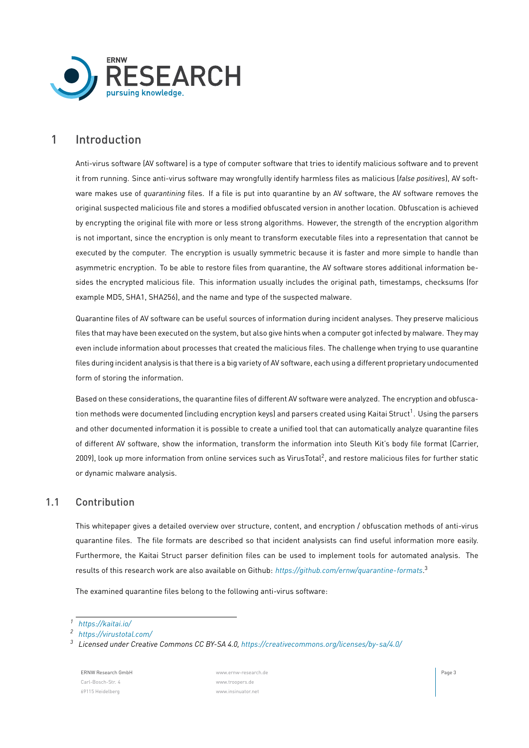

# <span id="page-2-0"></span>1 Introduction

Anti-virus software (AV software) is a type of computer software that tries to identify malicious software and to prevent it from running. Since anti-virus software may wrongfully identify harmless files as malicious (*false positives*), AV software makes use of *quarantining* files. If a file is put into quarantine by an AV software, the AV software removes the original suspected malicious file and stores a modified obfuscated version in another location. Obfuscation is achieved by encrypting the original file with more or less strong algorithms. However, the strength of the encryption algorithm is not important, since the encryption is only meant to transform executable files into a representation that cannot be executed by the computer. The encryption is usually symmetric because it is faster and more simple to handle than asymmetric encryption. To be able to restore files from quarantine, the AV software stores additional information besides the encrypted malicious file. This information usually includes the original path, timestamps, checksums (for example MD5, SHA1, SHA256), and the name and type of the suspected malware.

Quarantine files of AV software can be useful sources of information during incident analyses. They preserve malicious files that may have been executed on the system, but also give hints when a computer got infected by malware. They may even include information about processes that created the malicious files. The challenge when trying to use quarantine files during incident analysis is that there is a big variety of AV software, each using a different proprietary undocumented form of storing the information.

Based on these considerations, the quarantine files of different AV software were analyzed. The encryption and obfusca-tion methods were documented (including encryption keys) and parsers created using Kaitai Struct<sup>[1](#page-2-2)</sup>. Using the parsers and other documented information it is possible to create a unified tool that can automatically analyze quarantine files of different AV software, show the information, transform the information into Sleuth Kit's body file format (Carrier, [2009](#page-35-1)), look up more information from online services such as VirusTotal<sup>[2](#page-2-3)</sup>, and restore malicious files for further static or dynamic malware analysis.

# <span id="page-2-1"></span>1.1 Contribution

This whitepaper gives a detailed overview over structure, content, and encryption / obfuscation methods of anti-virus quarantine files. The file formats are described so that incident analysists can find useful information more easily. Furthermore, the Kaitai Struct parser definition files can be used to implement tools for automated analysis. The results of this research work are also available on Github: *<https://github.com/ernw/quarantine-formats>*. [3](#page-2-4)

The examined quarantine files belong to the following anti-virus software:

ERNW Research GmbH [www.ernw-research.de](https://ernw-research.de) Page 3 Carl-Bosch-Str. 4 [www.troopers.de](https://troopers.de) 69115 Heidelberg [www.insinuator.net](https://insinuator.net)

<span id="page-2-2"></span>*<sup>1</sup> <https://kaitai.io/>*

<span id="page-2-3"></span>*<sup>2</sup> <https://virustotal.com/>*

<span id="page-2-4"></span>*<sup>3</sup> Licensed under Creative Commons CC BY-SA 4.0, <https://creativecommons.org/licenses/by-sa/4.0/>*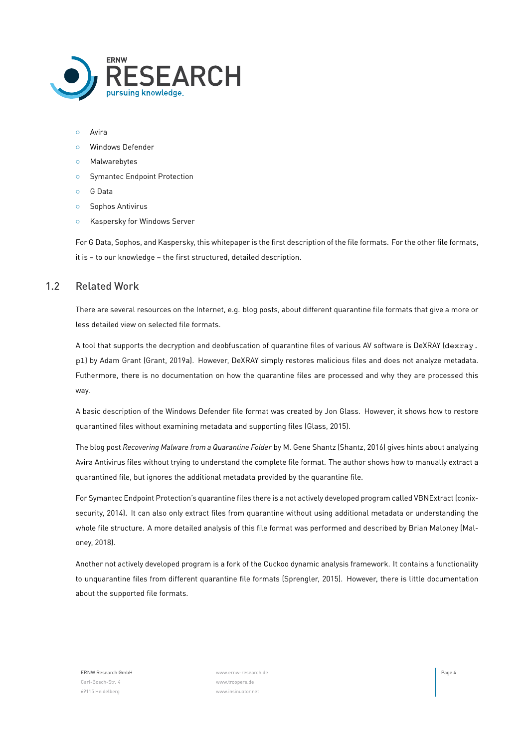

- *◦* Avira
- *◦* Windows Defender
- *◦* Malwarebytes
- *◦* Symantec Endpoint Protection
- *◦* G Data
- *◦* Sophos Antivirus
- *◦* Kaspersky for Windows Server

<span id="page-3-0"></span>For G Data, Sophos, and Kaspersky, this whitepaper is the first description of the file formats. For the other file formats, it is – to our knowledge – the first structured, detailed description.

# 1.2 Related Work

There are several resources on the Internet, e.g. blog posts, about different quarantine file formats that give a more or less detailed view on selected file formats.

A tool that supports the decryption and deobfuscation of quarantine files of various AV software is DeXRAY (dexray. pl) by Adam Grant (Grant, [2019a\)](#page-35-2). However, DeXRAY simply restores malicious files and does not analyze metadata. Futhermore, there is no documentation on how the quarantine files are processed and why they are processed this way.

A basic description of the Windows Defender file format was created by Jon Glass. However, it shows how to restore quarantined files without examining metadata and supporting files (Glass, [2015\)](#page-35-3).

The blog post *Recovering Malware from a Quarantine Folder* by M. Gene Shantz (Shantz, [2016\)](#page-35-4) gives hints about analyzing Avira Antivirus files without trying to understand the complete file format. The author shows how to manually extract a quarantined file, but ignores the additional metadata provided by the quarantine file.

For Symantec Endpoint Protection's quarantine files there is a not actively developed program called VBNExtract (conixsecurity, [2014](#page-35-5)). It can also only extract files from quarantine without using additional metadata or understanding the whole file structure. A more detailed analysis of this file format was performed and described by Brian Maloney (Maloney, [2018](#page-35-6)).

Another not actively developed program is a fork of the Cuckoo dynamic analysis framework. It contains a functionality to unquarantine files from different quarantine file formats (Sprengler, [2015\)](#page-35-7). However, there is little documentation about the supported file formats.

Carl-Bosch-Str. 4 [www.troopers.de](https://troopers.de) 69115 Heidelberg [www.insinuator.net](https://insinuator.net)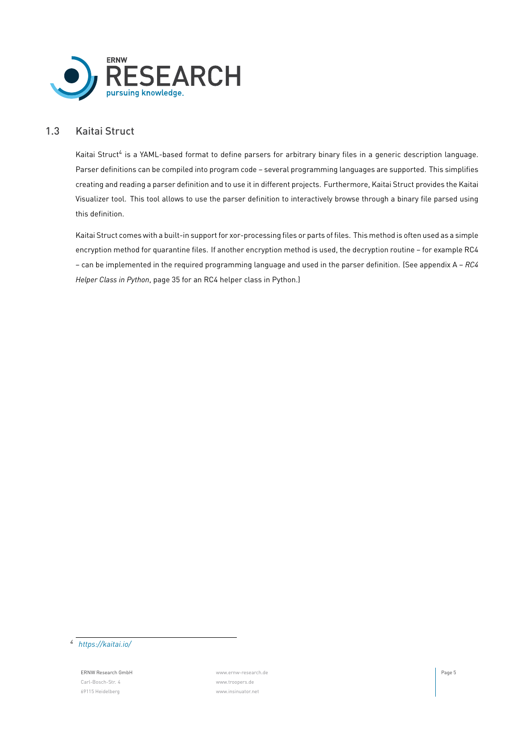

# 1.3 Kaitai Struct

<span id="page-4-0"></span>Kaitai Struct<sup>[4](#page-4-1)</sup> is a YAML-based format to define parsers for arbitrary binary files in a generic description language. Parser definitions can be compiled into program code – several programming languages are supported. This simplifies creating and reading a parser definition and to use it in different projects. Furthermore, Kaitai Struct provides the Kaitai Visualizer tool. This tool allows to use the parser definition to interactively browse through a binary file parsed using this definition.

Kaitai Struct comes with a built-in support for xor-processing files or parts of files. This method is often used as a simple encryption method for quarantine files. If another encryption method is used, the decryption routine – for example RC4 – can be implemented in the required programming language and used in the parser definition. (See appendix [A](#page-34-0) – *[RC4](#page-34-0) [Helper Class in Python](#page-34-0)*, page [35](#page-34-0) for an RC4 helper class in Python.)

<span id="page-4-1"></span>*4 <https://kaitai.io/>*

ERNW Research GmbH [www.ernw-research.de](https://ernw-research.de) Page 5 Carl-Bosch-Str. 4 [www.troopers.de](https://troopers.de) 69115 Heidelberg [www.insinuator.net](https://insinuator.net)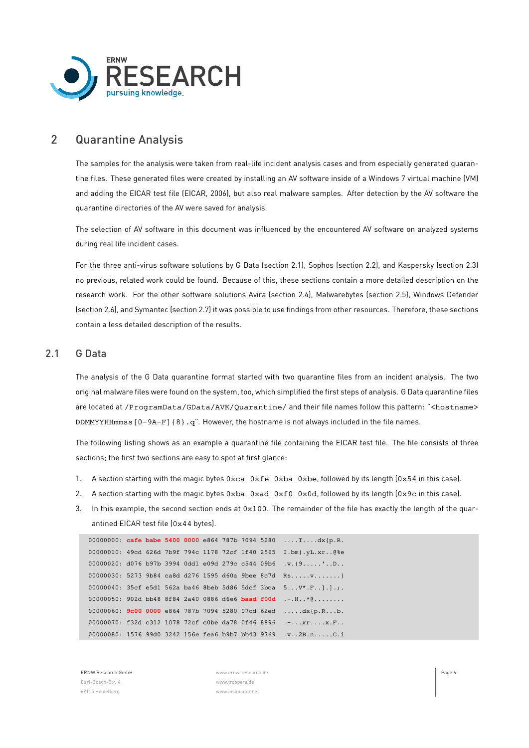

# <span id="page-5-0"></span>2 Quarantine Analysis

The samples for the analysis were taken from real-life incident analysis cases and from especially generated quarantine files. These generated files were created by installing an AV software inside of a Windows 7 virtual machine (VM) and adding the EICAR test file (EICAR, [2006](#page-35-8)), but also real malware samples. After detection by the AV software the quarantine directories of the AV were saved for analysis.

The selection of AV software in this document was influenced by the encountered AV software on analyzed systems during real life incident cases.

For the three anti-virus software solutions by G Data (section [2.1](#page-5-1)), Sophos (section [2.2](#page-9-0)), and Kaspersky (section [2.3\)](#page-12-1) no previous, related work could be found. Because of this, these sections contain a more detailed description on the research work. For the other software solutions Avira (section [2.4](#page-14-1)), Malwarebytes (section [2.5](#page-16-0)), Windows Defender (section [2.6\)](#page-18-0), and Symantec (section [2.7](#page-26-0)) it was possible to use findings from other resources. Therefore, these sections contain a less detailed description of the results.

# <span id="page-5-1"></span>2.1 G Data

The analysis of the G Data quarantine format started with two quarantine files from an incident analysis. The two original malware files were found on the system, too, which simplified the first steps of analysis. G Data quarantine files are located at /ProgramData/GData/AVK/Quarantine/ and their file names follow this pattern: "<hostname> DDMMYYHHmmss  $[0-9A-F]$  {8}. q". However, the hostname is not always included in the file names.

The following listing shows as an example a quarantine file containing the EICAR test file. The file consists of three sections; the first two sections are easy to spot at first glance:

- 1. A section starting with the magic bytes 0xca 0xfe 0xba 0xbe, followed by its length (0x54 in this case).
- 2. A section starting with the magic bytes  $0xba$   $0xda$   $0xda$   $0x0d$ , followed by its length  $0x9c$  in this case).
- 3. In this example, the second section ends at 0x100. The remainder of the file has exactly the length of the quarantined EICAR test file (0x44 bytes).

```
00000000: cafe babe 5400 0000 e864 787b 7094 5280 ....T....dx{p.R.
00000010: 49cd 626d 7b9f 794c 1178 72cf 1f40 2565 I.bm{.yL.xr..@%e
00000020: d076 b97b 3994 0dd1 e09d 279c c544 09b6 .v.{9.....'..D..
00000030: 5273 9b84 ca8d d276 1595 d60a 9bee 8c7d Rs.....v.......}
00000040: 35cf e5d1 562a ba46 8beb 5d86 5dcf 3bca 5...V*.F..].].;.
00000050: 902d bb48 8f84 2a40 0886 d6e6 baad f00d .-.H..*@........
00000060: 9c00 0000 e864 787b 7094 5280 07cd 62ed .....dx{p.R...b.
00000070: f32d c312 1078 72cf c0be da78 0f46 8896 .-...xr....x.F..
00000080: 1576 99d0 3242 156e fea6 b9b7 bb43 9769 .v..2B.n.....C.i
```
ERNW Research GmbH [www.ernw-research.de](https://ernw-research.de) Page 6 Carl-Bosch-Str. 4 [www.troopers.de](https://troopers.de) 69115 Heidelberg [www.insinuator.net](https://insinuator.net)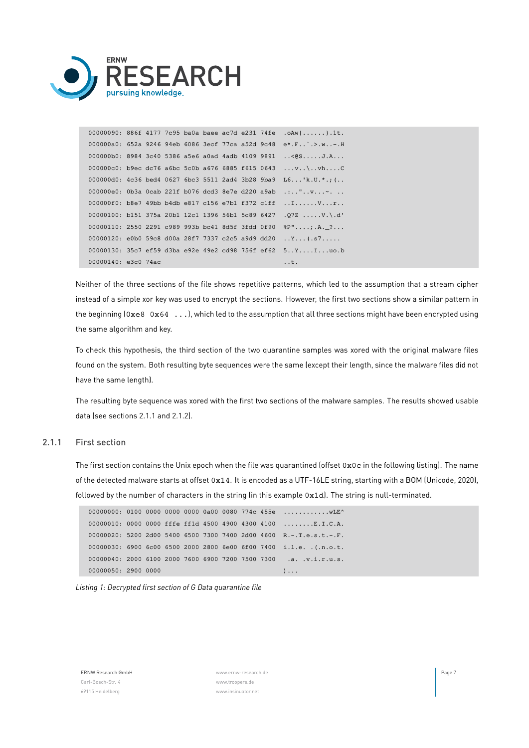

|                     |  |  |  |  | 00000090: 886f 4177 7c95 ba0a baee ac7d e231 74fe .oAw }.1t.              |
|---------------------|--|--|--|--|---------------------------------------------------------------------------|
|                     |  |  |  |  | 000000a0: 652a 9246 94eb 6086 3ecf 77ca a52d 9c48 e*.F`.>.w-.H            |
|                     |  |  |  |  | 000000b0: 8984 3c40 5386 a5e6 a0ad 4adb 4109 9891 < @SJ.A                 |
|                     |  |  |  |  | 000000c0: b9ec dc76 a6bc 5c0b a676 6885 f615 0643 v\vhC                   |
|                     |  |  |  |  | 000000d0: $4c36$ bed4 0627 6bc3 5511 2ad4 3b28 9ba9 L6'k.U.*.; (          |
|                     |  |  |  |  | 000000e0: 0b3a 0cab 221f b076 dcd3 8e7e d220 a9ab .:"v~.                  |
|                     |  |  |  |  | 000000f0: b8e7 49bb b4db e817 c156 e7b1 f372 c1ff $\dots\dots\dots\dots$  |
|                     |  |  |  |  | 00000100: b151 375a 20b1 12c1 1396 56b1 5c89 6427 .07Z V.\.d'             |
|                     |  |  |  |  | 00000110: 2550 2291 c989 993b bc41 8d5f 3fdd 0f90 $P^{\prime\prime}$ A. ? |
|                     |  |  |  |  | 00000120: e0b0 59c8 d00a 28f7 7337 c2c5 a9d9 dd20 Y(.s7                   |
|                     |  |  |  |  | 00000130: 35c7 ef59 d3ba e92e 49e2 cd98 756f ef62 $5YI$ uo.b              |
| 00000140: e3c0 74ac |  |  |  |  | . . t .                                                                   |

Neither of the three sections of the file shows repetitive patterns, which led to the assumption that a stream cipher instead of a simple xor key was used to encrypt the sections. However, the first two sections show a similar pattern in the beginning (0xe8 0x64 ...), which led to the assumption that all three sections might have been encrypted using the same algorithm and key.

To check this hypothesis, the third section of the two quarantine samples was xored with the original malware files found on the system. Both resulting byte sequences were the same (except their length, since the malware files did not have the same length).

<span id="page-6-0"></span>The resulting byte sequence was xored with the first two sections of the malware samples. The results showed usable data (see sections [2.1.1](#page-6-0) and [2.1.2](#page-7-0)).

#### 2.1.1 First section

The first section contains the Unix epoch when the file was quarantined (offset 0x0c in the following listing). The name of the detected malware starts at offset 0x14. It is encoded as a UTF-16LE string, starting with a BOM (Unicode, [2020\)](#page-35-9), followed by the number of characters in the string (in this example 0x1d). The string is null-terminated.

```
00000000: 0100 0000 0000 0000 0a00 0080 774c 455e ............. wLE^
00000010: 0000 0000 fffe ff1d 4500 4900 4300 4100 ........E.I.C.A.
00000020: 5200 2d00 5400 6500 7300 7400 2d00 4600 R.-.T.e.s.t.-.F.
00000030: 6900 6c00 6500 2000 2800 6e00 6f00 7400 i.l.e. .(.n.o.t.
00000040: 2000 6100 2000 7600 6900 7200 7500 7300 .a. .v.i.r.u.s.
00000050: 2900 0000 )...
```


ERNW Research GmbH [www.ernw-research.de](https://ernw-research.de) Page 7 Carl-Bosch-Str. 4 [www.troopers.de](https://troopers.de) 69115 Heidelberg [www.insinuator.net](https://insinuator.net)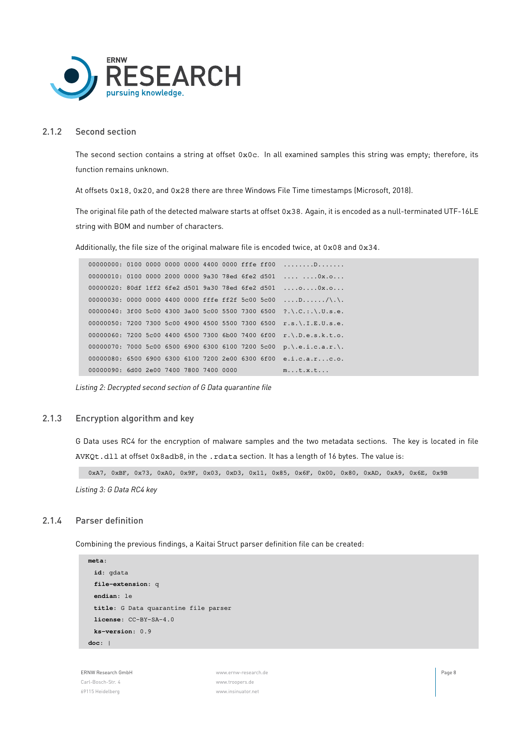

#### 2.1.2 Second section

<span id="page-7-0"></span>The second section contains a string at offset  $0 \times 0c$ . In all examined samples this string was empty; therefore, its function remains unknown.

At offsets 0x18, 0x20, and 0x28 there are three Windows File Time timestamps (Microsoft, [2018](#page-35-10)).

The original file path of the detected malware starts at offset 0x38. Again, it is encoded as a null-terminated UTF-16LE string with BOM and number of characters.

Additionally, the file size of the original malware file is encoded twice, at 0x08 and 0x34.

```
00000000: 0100 0000 0000 0000 4400 0000 fffe ff00 ........D.......
00000010: 0100 0000 2000 0000 9a30 78ed 6fe2 d501 .... ....0x.o...
00000020: 80df 1ff2 6fe2 d501 9a30 78ed 6fe2 d501 ....o....0x.o...
00000030: 0000 0000 4400 0000 fffe ff2f 5c00 5c00 \dots D\dots D\dots/\n\lambda.
00000040: 3f00 5c00 4300 3a00 5c00 5500 7300 6500 ?.\.C.:.\.U.s.e.
00000050: 7200 7300 5c00 4900 4500 5500 7300 6500 r.s.\.I.E.U.s.e.
00000060: 7200 5c00 4400 6500 7300 6b00 7400 6f00 r.\.D.e.s.k.t.o.
00000070: 7000 5c00 6500 6900 6300 6100 7200 5c00 p.\.e.i.c.a.r.\.
00000080: 6500 6900 6300 6100 7200 2e00 6300 6f00 e.i.c.a.r...c.o.
00000090: 6d00 2e00 7400 7800 7400 0000 m...t.x.t...
```
<span id="page-7-1"></span>*Listing 2: Decrypted second section of G Data quarantine file*

#### 2.1.3 Encryption algorithm and key

G Data uses RC4 for the encryption of malware samples and the two metadata sections. The key is located in file AVKQt.dll at offset 0x8adb8, in the .rdata section. It has a length of 16 bytes. The value is:

0xA7, 0xBF, 0x73, 0xA0, 0x9F, 0x03, 0xD3, 0x11, 0x85, 0x6F, 0x00, 0x80, 0xAD, 0xA9, 0x6E, 0x9B

<span id="page-7-2"></span>*Listing 3: G Data RC4 key*

#### 2.1.4 Parser definition

Combining the previous findings, a Kaitai Struct parser definition file can be created:

```
meta:
 id: gdata
 file-extension: q
endian: le
 title: G Data quarantine file parser
 license: CC-BY-SA-4.0
 ks-version: 0.9
doc: |
```
ERNW Research GmbH [www.ernw-research.de](https://ernw-research.de) Page 8 Carl-Bosch-Str. 4 [www.troopers.de](https://troopers.de) 69115 Heidelberg [www.insinuator.net](https://insinuator.net)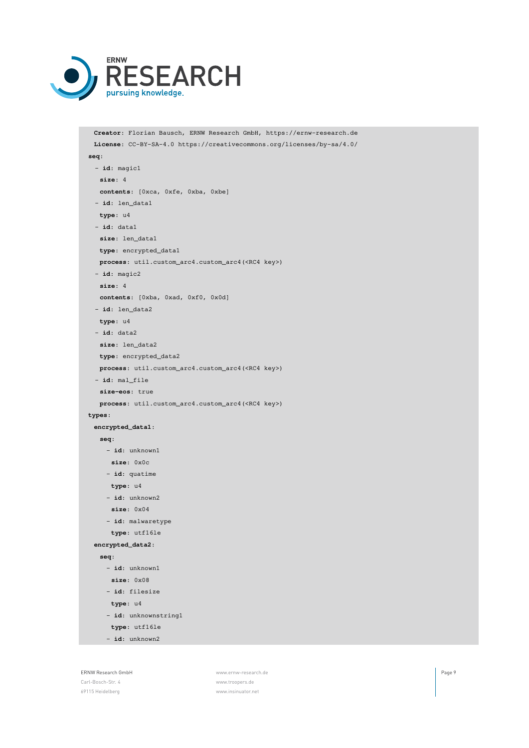

```
Creator: Florian Bausch, ERNW Research GmbH, https://ernw-research.de
 License: CC-BY-SA-4.0 https://creativecommons.org/licenses/by-sa/4.0/
seq:
 - id: magic1
  size: 4
  contents: [0xca, 0xfe, 0xba, 0xbe]
 - id: len_data1
  type: u4
 - id: data1
  size: len_data1
  type: encrypted_data1
  process: util.custom_arc4.custom_arc4(<RC4 key>)
 - id: magic2
  size: 4
  contents: [0xba, 0xad, 0xf0, 0x0d]
 - id: len_data2
  type: u4
 - id: data2
  size: len_data2
  type: encrypted_data2
  process: util.custom_arc4.custom_arc4(<RC4 key>)
 - id: mal_file
  size-eos: true
  process: util.custom_arc4.custom_arc4(<RC4 key>)
types:
 encrypted_data1:
  seq:
    - id: unknown1
     size: 0x0c
    - id: quatime
     type: u4
    - id: unknown2
     size: 0x04
    - id: malwaretype
     type: utf16le
 encrypted_data2:
  seq:
    - id: unknown1
     size: 0x08
    - id: filesize
     type: u4
    - id: unknownstring1
     type: utf16le
    - id: unknown2
```
ERNW Research GmbH [www.ernw-research.de](https://ernw-research.de) Page 9 69115 Heidelberg [www.insinuator.net](https://insinuator.net)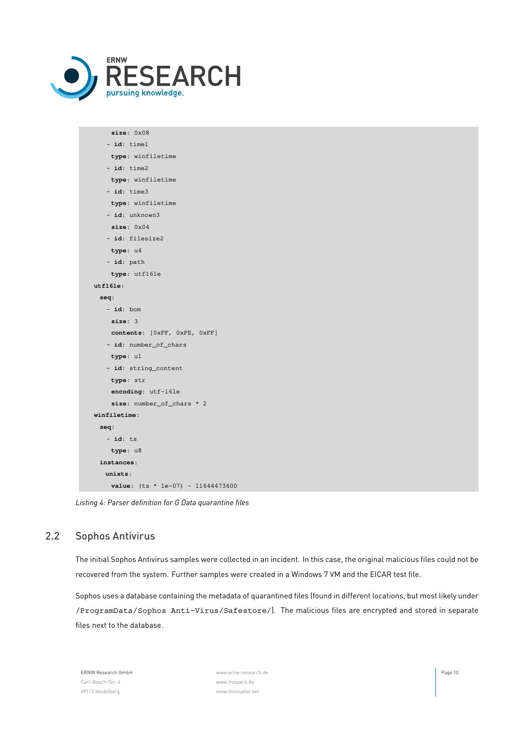

| size: 0x08                          |
|-------------------------------------|
| id: timel                           |
| type: winfiletime                   |
| $-$ id: time2                       |
| type: winfiletime                   |
| $-$ id: time3                       |
| type: winfiletime                   |
| - id: unknown3                      |
| size: 0x04                          |
| - id: filesize2                     |
| type: u4                            |
| $-$ id: path                        |
| type: utf16le                       |
| utf161e:                            |
| seq:                                |
| $- id:$ bom                         |
| size: 3                             |
| contents: [OxFF, OxFE, OxFF]        |
| - id: number_of_chars               |
| type: ul                            |
| - id: string_content                |
| type: str                           |
| encoding: utf-16le                  |
| size: number_of_chars * 2           |
| winfiletime:                        |
| seq:                                |
| - <b>id</b> : ts                    |
| type: u8                            |
| instances:                          |
| units:                              |
| value: $(ts * 1e-07) - 11644473600$ |

<span id="page-9-0"></span>*Listing 4: Parser definition for G Data quarantine files*

# 2.2 Sophos Antivirus

The initial Sophos Antivirus samples were collected in an incident. In this case, the original malicious files could not be recovered from the system. Further samples were created in a Windows 7 VM and the EICAR test file.

Sophos uses a database containing the metadata of quarantined files (found in different locations, but most likely under /ProgramData/Sophos Anti-Virus/Safestore/). The malicious files are encrypted and stored in separate files next to the database.

| <b>ERNW Research GmbH</b> |
|---------------------------|
| Carl-Bosch-Str. 4         |
| 69115 Heidelberg          |

[www.ernw-research.de](https://ernw-research.de) **Page 10** [www.troopers.de](https://troopers.de) [www.insinuator.net](https://insinuator.net)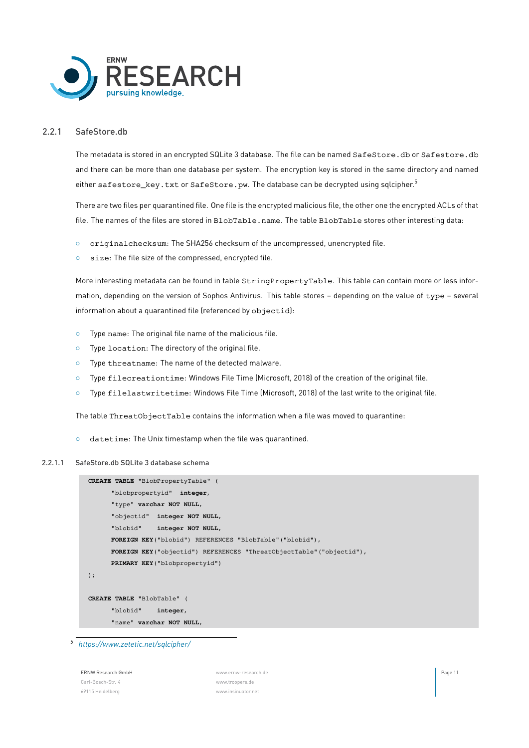

#### 2.2.1 SafeStore.db

<span id="page-10-0"></span>The metadata is stored in an encrypted SQLite 3 database. The file can be named SafeStore.db or Safestore.db and there can be more than one database per system. The encryption key is stored in the same directory and named either safestore\_key.txt or SafeStore.pw. The database can be decrypted using sqlcipher.<sup>[5](#page-10-1)</sup>

There are two files per quarantined file. One file is the encrypted malicious file, the other one the encrypted ACLs of that file. The names of the files are stored in BlobTable.name. The table BlobTable stores other interesting data:

- *◦* originalchecksum: The SHA256 checksum of the uncompressed, unencrypted file.
- *◦* size: The file size of the compressed, encrypted file.

More interesting metadata can be found in table StringPropertyTable. This table can contain more or less information, depending on the version of Sophos Antivirus. This table stores – depending on the value of type – several information about a quarantined file (referenced by objectid):

- *◦* Type name: The original file name of the malicious file.
- *◦* Type location: The directory of the original file.
- *◦* Type threatname: The name of the detected malware.
- *◦* Type filecreationtime: Windows File Time (Microsoft, [2018\)](#page-35-10) of the creation of the original file.
- *◦* Type filelastwritetime: Windows File Time (Microsoft, [2018](#page-35-10)) of the last write to the original file.

The table ThreatObjectTable contains the information when a file was moved to quarantine:

*◦* datetime: The Unix timestamp when the file was quarantined.

#### 2.2.1.1 SafeStore.db SQLite 3 database schema

| CREATE TABLE "BlobPropertyTable" (                                    |
|-----------------------------------------------------------------------|
| "blobpropertyid" integer,                                             |
| "type" varchar NOT NULL,                                              |
| "objectid" integer NOT NULL,                                          |
| "blobid" integer NOT NULL,                                            |
| FOREIGN KEY ("blobid") REFERENCES "BlobTable" ("blobid"),             |
| FOREIGN KEY ("objectid") REFERENCES "ThreatObjectTable" ("objectid"), |
| <b>PRIMARY KEY</b> ("blobpropertyid")                                 |
| $\,$ ;                                                                |
|                                                                       |
| CREATE TABLE "BlobTable" (                                            |
| "blobid" integer,                                                     |
| "name" varchar NOT NULL,                                              |

<span id="page-10-1"></span>*5 <https://www.zetetic.net/sqlcipher/>*

ERNW Research GmbH [www.ernw-research.de](https://ernw-research.de) Page 11 Carl-Bosch-Str. 4 [www.troopers.de](https://troopers.de) 69115 Heidelberg [www.insinuator.net](https://insinuator.net)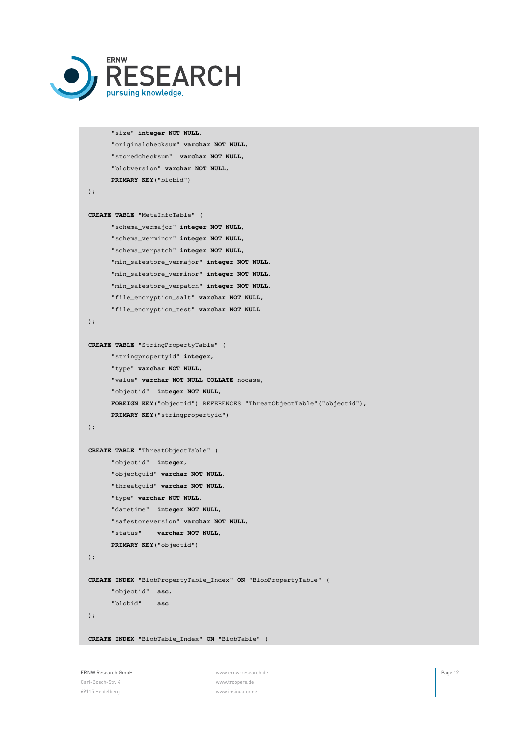

```
"size" integer NOT NULL,
      "originalchecksum" varchar NOT NULL,
      "storedchecksum" varchar NOT NULL,
      "blobversion" varchar NOT NULL,
      PRIMARY KEY("blobid")
);
CREATE TABLE "MetaInfoTable" (
      "schema_vermajor" integer NOT NULL,
      "schema_verminor" integer NOT NULL,
      "schema_verpatch" integer NOT NULL,
      "min_safestore_vermajor" integer NOT NULL,
      "min_safestore_verminor" integer NOT NULL,
      "min_safestore_verpatch" integer NOT NULL,
      "file_encryption_salt" varchar NOT NULL,
      "file_encryption_test" varchar NOT NULL
);
CREATE TABLE "StringPropertyTable" (
      "stringpropertyid" integer,
      "type" varchar NOT NULL,
      "value" varchar NOT NULL COLLATE nocase,
      "objectid" integer NOT NULL,
      FOREIGN KEY("objectid") REFERENCES "ThreatObjectTable"("objectid"),
     PRIMARY KEY("stringpropertyid")
);
CREATE TABLE "ThreatObjectTable" (
     "objectid" integer,
      "objectguid" varchar NOT NULL,
      "threatguid" varchar NOT NULL,
      "type" varchar NOT NULL,
      "datetime" integer NOT NULL,
      "safestoreversion" varchar NOT NULL,
      "status" varchar NOT NULL,
     PRIMARY KEY("objectid")
);
CREATE INDEX "BlobPropertyTable_Index" ON "BlobPropertyTable" (
     "objectid" asc,
      "blobid" asc
);
CREATE INDEX "BlobTable_Index" ON "BlobTable" (
```
Carl-Bosch-Str. 4 [www.troopers.de](https://troopers.de) 69115 Heidelberg [www.insinuator.net](https://insinuator.net)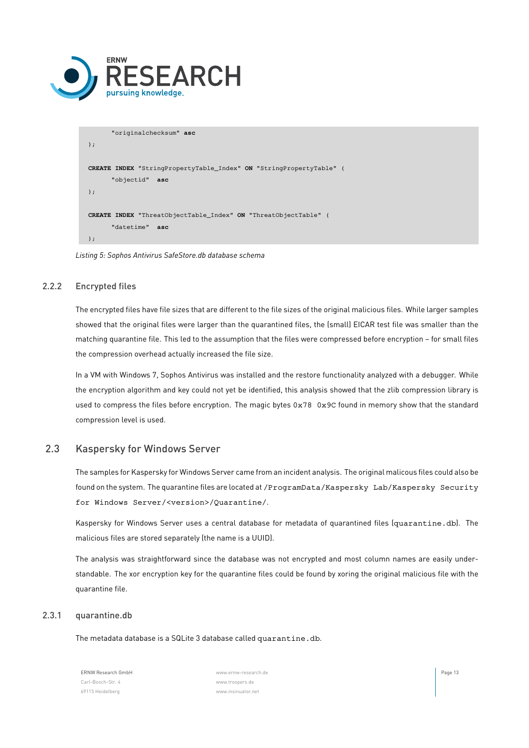

```
"originalchecksum" asc
);
CREATE INDEX "StringPropertyTable_Index" ON "StringPropertyTable" (
      "objectid" asc
);
CREATE INDEX "ThreatObjectTable_Index" ON "ThreatObjectTable" (
      "datetime" asc
);
```
<span id="page-12-0"></span>*Listing 5: Sophos Antivirus SafeStore.db database schema*

### 2.2.2 Encrypted files

The encrypted files have file sizes that are different to the file sizes of the original malicious files. While larger samples showed that the original files were larger than the quarantined files, the (small) EICAR test file was smaller than the matching quarantine file. This led to the assumption that the files were compressed before encryption – for small files the compression overhead actually increased the file size.

In a VM with Windows 7, Sophos Antivirus was installed and the restore functionality analyzed with a debugger. While the encryption algorithm and key could not yet be identified, this analysis showed that the zlib compression library is used to compress the files before encryption. The magic bytes 0x78 0x9C found in memory show that the standard compression level is used.

# <span id="page-12-1"></span>2.3 Kaspersky for Windows Server

The samples for Kaspersky for Windows Server came from an incident analysis. The original malicous files could also be found on the system. The quarantine files are located at /ProgramData/Kaspersky Lab/Kaspersky Security for Windows Server/<version>/Quarantine/.

Kaspersky for Windows Server uses a central database for metadata of quarantined files (quarantine.db). The malicious files are stored separately (the name is a UUID).

The analysis was straightforward since the database was not encrypted and most column names are easily understandable. The xor encryption key for the quarantine files could be found by xoring the original malicious file with the quarantine file.

#### <span id="page-12-2"></span>2.3.1 quarantine.db

The metadata database is a SQLite 3 database called quarantine.db.

Carl-Bosch-Str. 4 [www.troopers.de](https://troopers.de) 69115 Heidelberg [www.insinuator.net](https://insinuator.net)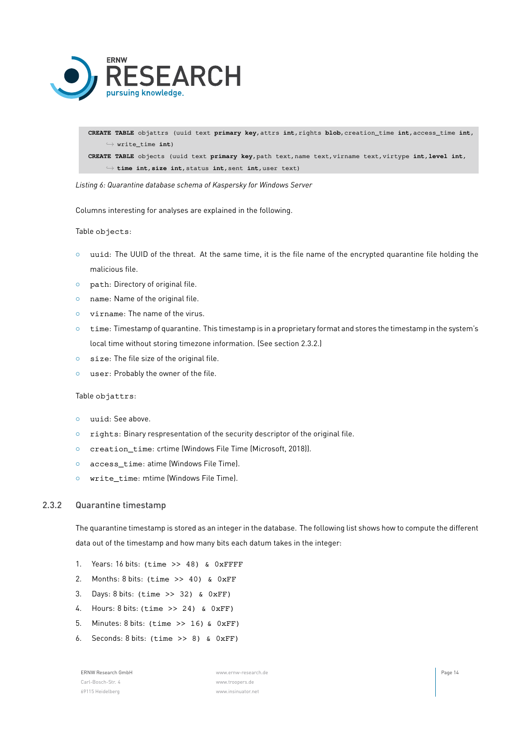

**CREATE TABLE** objattrs (uuid text **primary key**,attrs **int**,rights **blob**,creation\_time **int**,access\_time **int**, *,→* write\_time **int**)

**CREATE TABLE** objects (uuid text **primary key**,path text,name text,virname text,virtype **int**,**level int**, *,→* **time int**,**size int**,status **int**,sent **int**,user text)

*Listing 6: Quarantine database schema of Kaspersky for Windows Server*

Columns interesting for analyses are explained in the following.

Table objects:

- *◦* uuid: The UUID of the threat. At the same time, it is the file name of the encrypted quarantine file holding the malicious file.
- *◦* path: Directory of original file.
- *◦* name: Name of the original file.
- *◦* virname: The name of the virus.
- *◦* time: Timestamp of quarantine. This timestamp is in a proprietary format and stores the timestamp in the system's local time without storing timezone information. (See section [2.3.2](#page-13-0).)
- *◦* size: The file size of the original file.
- *◦* user: Probably the owner of the file.

Table objattrs:

- *◦* uuid: See above.
- *◦* rights: Binary respresentation of the security descriptor of the original file.
- *◦* creation\_time: crtime (Windows File Time (Microsoft, [2018](#page-35-10))).
- *◦* access\_time: atime (Windows File Time).
- <span id="page-13-0"></span>*◦* write\_time: mtime (Windows File Time).

#### 2.3.2 Quarantine timestamp

The quarantine timestamp is stored as an integer in the database. The following list shows how to compute the different data out of the timestamp and how many bits each datum takes in the integer:

- 1. Years: 16 bits: (time >> 48) & 0xFFFF
- 2. Months: 8 bits: (time >> 40) & 0xFF
- 3. Days: 8 bits: (time >> 32) & 0xFF)
- 4. Hours: 8 bits: (time >> 24) & 0xFF)
- 5. Minutes: 8 bits: (time >> 16) & 0xFF)
- 6. Seconds: 8 bits: (time >> 8) & 0xFF)

Carl-Bosch-Str. 4 [www.troopers.de](https://troopers.de) 69115 Heidelberg [www.insinuator.net](https://insinuator.net)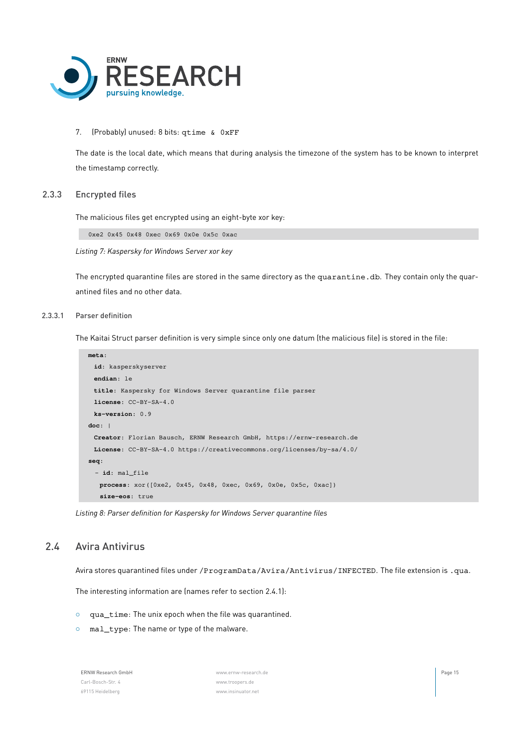

#### 7. (Probably) unused: 8 bits: qtime & 0xFF

<span id="page-14-0"></span>The date is the local date, which means that during analysis the timezone of the system has to be known to interpret the timestamp correctly.

#### 2.3.3 Encrypted files

The malicious files get encrypted using an eight-byte xor key:

0xe2 0x45 0x48 0xec 0x69 0x0e 0x5c 0xac

*Listing 7: Kaspersky for Windows Server xor key*

The encrypted quarantine files are stored in the same directory as the quarantine.db. They contain only the quarantined files and no other data.

#### 2.3.3.1 Parser definition

The Kaitai Struct parser definition is very simple since only one datum (the malicious file) is stored in the file:

```
meta:
 id: kasperskyserver
 endian: le
 title: Kaspersky for Windows Server quarantine file parser
 license: CC-BY-SA-4.0
 ks-version: 0.9
doc: |
 Creator: Florian Bausch, ERNW Research GmbH, https://ernw-research.de
 License: CC-BY-SA-4.0 https://creativecommons.org/licenses/by-sa/4.0/
seq:
 - id: mal_file
   process: xor([0xe2, 0x45, 0x48, 0xec, 0x69, 0x0e, 0x5c, 0xac])
   size-eos: true
```
<span id="page-14-1"></span>*Listing 8: Parser definition for Kaspersky for Windows Server quarantine files*

#### 2.4 Avira Antivirus

Avira stores quarantined files under /ProgramData/Avira/Antivirus/INFECTED. The file extension is .qua.

The interesting information are (names refer to section [2.4.1](#page-15-0)):

- *◦* qua\_time: The unix epoch when the file was quarantined.
- *◦* mal\_type: The name or type of the malware.

| <b>ERNW Research GmbH</b> |
|---------------------------|
| Carl-Bosch-Str. 4         |
| 69115 Heidelberg          |

[www.ernw-research.de](https://ernw-research.de) **Page 15** [www.troopers.de](https://troopers.de) [www.insinuator.net](https://insinuator.net)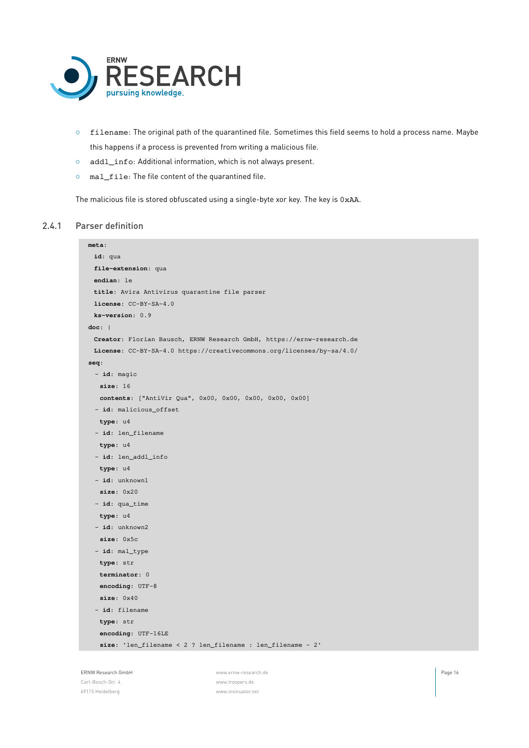

- *◦* filename: The original path of the quarantined file. Sometimes this field seems to hold a process name. Maybe this happens if a process is prevented from writing a malicious file.
- *◦* addl\_info: Additional information, which is not always present.
- *◦* mal\_file: The file content of the quarantined file.

<span id="page-15-0"></span>The malicious file is stored obfuscated using a single-byte xor key. The key is 0xAA.

#### 2.4.1 Parser definition

```
meta:
 id: qua
file-extension: qua
 endian: le
 title: Avira Antivirus quarantine file parser
 license: CC-BY-SA-4.0
 ks-version: 0.9
doc: |
 Creator: Florian Bausch, ERNW Research GmbH, https://ernw-research.de
 License: CC-BY-SA-4.0 https://creativecommons.org/licenses/by-sa/4.0/
seq:
 - id: magic
  size: 16
   contents: ["AntiVir Qua", 0x00, 0x00, 0x00, 0x00, 0x00]
 - id: malicious offset
  type: u4
  - id: len_filename
   type: u4
 - id: len_addl_info
   type: u4
  - id: unknown1
   size: 0x20
  - id: qua_time
  type: u4
 - id: unknown2
   size: 0x5c
 - id: mal_type
   type: str
   terminator: 0
   encoding: UTF-8
   size: 0x40
  - id: filename
   type: str
   encoding: UTF-16LE
   size: 'len_filename < 2 ? len_filename : len_filename - 2'
```
Carl-Bosch-Str. 4 [www.troopers.de](https://troopers.de) 69115 Heidelberg [www.insinuator.net](https://insinuator.net)

ERNW Research GmbH **Page 16 Conserved Conserved Conserved Conserved Conserved Conserved Conserved Conserved Conserved Conserved Conserved Conserved Conserved Page 16**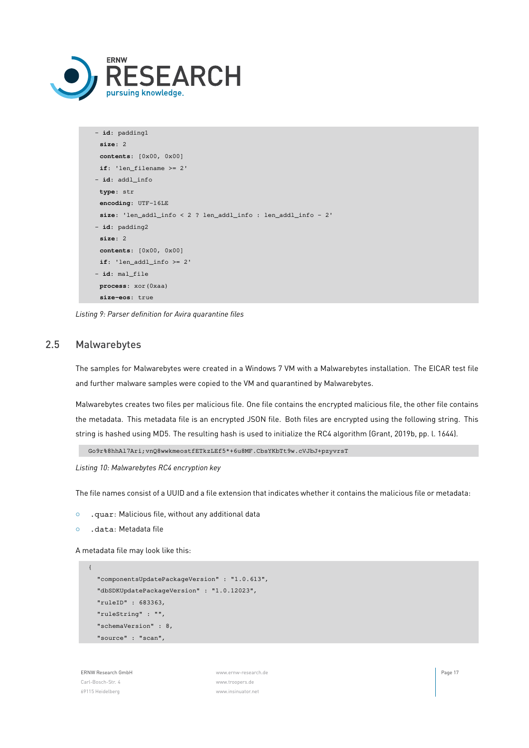

```
- id: padding1
 size: 2
 contents: [0x00, 0x00]
 if: 'len_filename >= 2'
- id: addl_info
 type: str
 encoding: UTF-16LE
 size: 'len_addl_info < 2 ? len_addl_info : len_addl_info - 2'
- id: padding2
 size: 2
 contents: [0x00, 0x00]
 if: 'len_addl_info >= 2'
- id: mal_file
 process: xor(0xaa)
 size-eos: true
```
<span id="page-16-0"></span>*Listing 9: Parser definition for Avira quarantine files*

## 2.5 Malwarebytes

The samples for Malwarebytes were created in a Windows 7 VM with a Malwarebytes installation. The EICAR test file and further malware samples were copied to the VM and quarantined by Malwarebytes.

Malwarebytes creates two files per malicious file. One file contains the encrypted malicious file, the other file contains the metadata. This metadata file is an encrypted JSON file. Both files are encrypted using the following string. This string is hashed using MD5. The resulting hash is used to initialize the RC4 algorithm (Grant, [2019b,](#page-35-11) pp. l. 1644).

Go9r%8hhAl7Ari;vnQ8wwkmeostfETkzLEf5\*+6u8MF.CbsYKbTt9w.cVJbJ+pzyvrsT

*Listing 10: Malwarebytes RC4 encryption key*

The file names consist of a UUID and a file extension that indicates whether it contains the malicious file or metadata:

- *◦* .quar: Malicious file, without any additional data
- *◦* .data: Metadata file

A metadata file may look like this:

```
{
  "componentsUpdatePackageVersion" : "1.0.613",
  "dbSDKUpdatePackageVersion" : "1.0.12023",
  "ruleID" : 683363,
  "ruleString" : "",
  "schemaVersion" : 8,
  "source" : "scan",
```
ERNW Research GmbH [www.ernw-research.de](https://ernw-research.de) Page 17 Carl-Bosch-Str. 4 [www.troopers.de](https://troopers.de) 69115 Heidelberg [www.insinuator.net](https://insinuator.net)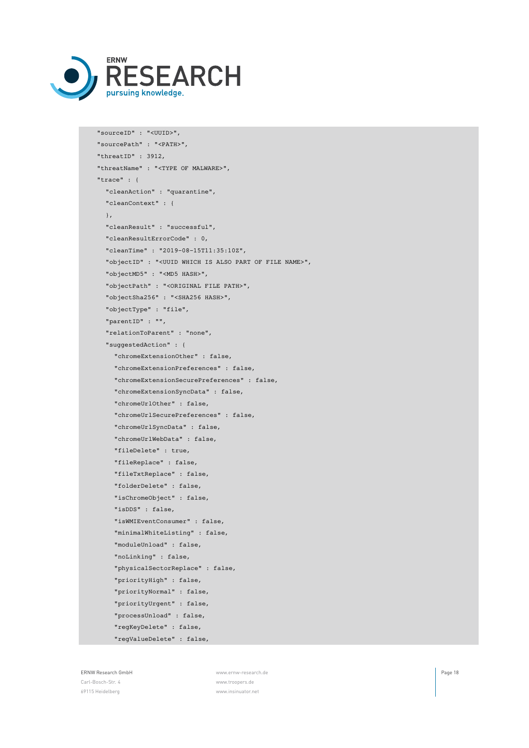

```
"sourceID" : "<UUID>",
"sourcePath" : "<PATH>",
"threatID" : 3912,
"threatName" : "<TYPE OF MALWARE>",
"trace" : {
 "cleanAction" : "quarantine",
  "cleanContext" : {
 },
  "cleanResult" : "successful",
  "cleanResultErrorCode" : 0,
  "cleanTime" : "2019-08-15T11:35:10Z",
  "objectID" : "<UUID WHICH IS ALSO PART OF FILE NAME>",
  "objectMD5" : "<MD5 HASH>",
  "objectPath" : "<ORIGINAL FILE PATH>",
  "objectSha256" : "<SHA256 HASH>",
  "objectType" : "file",
  "parentID" : "",
  "relationToParent" : "none",
  "suggestedAction" : {
    "chromeExtensionOther" : false,
    "chromeExtensionPreferences" : false,
    "chromeExtensionSecurePreferences" : false,
    "chromeExtensionSyncData" : false,
    "chromeUrlOther" : false,
    "chromeUrlSecurePreferences" : false,
    "chromeUrlSyncData" : false,
    "chromeUrlWebData" : false,
    "fileDelete" : true,
    "fileReplace" : false,
    "fileTxtReplace" : false,
    "folderDelete" : false,
    "isChromeObject" : false,
    "isDDS" : false,
    "isWMIEventConsumer" : false,
    "minimalWhiteListing" : false,
    "moduleUnload" : false,
    "noLinking" : false,
    "physicalSectorReplace" : false,
    "priorityHigh" : false,
    "priorityNormal" : false,
    "priorityUrgent" : false,
    "processUnload" : false,
    "regKeyDelete" : false,
    "regValueDelete" : false,
```
ERNW Research GmbH [www.ernw-research.de](https://ernw-research.de) Page 18 Carl-Bosch-Str. 4 [www.troopers.de](https://troopers.de) 69115 Heidelberg [www.insinuator.net](https://insinuator.net)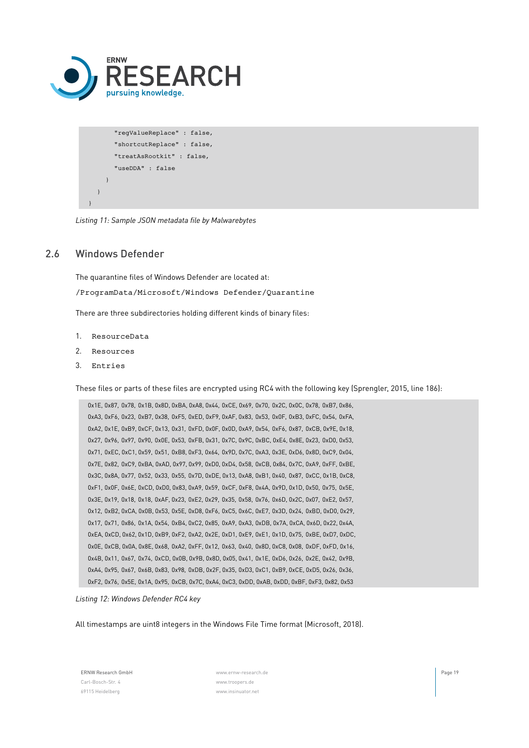

```
"regValueReplace" : false,
    "shortcutReplace" : false,
    "treatAsRootkit" : false,
    "useDDA" : false
  }
}
```
<span id="page-18-0"></span>*Listing 11: Sample JSON metadata file by Malwarebytes*

# 2.6 Windows Defender

}

The quarantine files of Windows Defender are located at: /ProgramData/Microsoft/Windows Defender/Quarantine

There are three subdirectories holding different kinds of binary files:

- 1. ResourceData
- 2. Resources
- 3. Entries

These files or parts of these files are encrypted using RC4 with the following key (Sprengler, [2015](#page-35-7), line 186):

```
0x1E, 0x87, 0x78, 0x1B, 0x8D, 0xBA, 0xA8, 0x44, 0xCE, 0x69, 0x70, 0x2C, 0x0C, 0x78, 0xB7, 0x86,
0xA3, 0xF6, 0x23, 0xB7, 0x38, 0xF5, 0xED, 0xF9, 0xAF, 0x83, 0x53, 0x0F, 0xB3, 0xFC, 0x54, 0xFA,
0xA2, 0x1E, 0xB9, 0xCF, 0x13, 0x31, 0xFD, 0x0F, 0x0D, 0xA9, 0x54, 0xF6, 0x87, 0xCB, 0x9E, 0x18,
0x27, 0x96, 0x97, 0x90, 0x0E, 0x53, 0xFB, 0x31, 0x7C, 0x9C, 0xBC, 0xE4, 0x8E, 0x23, 0xD0, 0x53,
0x71, 0xEC, 0xC1, 0x59, 0x51, 0xB8, 0xF3, 0x64, 0x9D, 0x7C, 0xA3, 0x3E, 0xD6, 0x8D, 0xC9, 0x04,
0x7E, 0x82, 0xC9, 0xBA, 0xAD, 0x97, 0x99, 0xD0, 0xD4, 0x58, 0xCB, 0x84, 0x7C, 0xA9, 0xFF, 0xBE,
0x3C, 0x8A, 0x77, 0x52, 0x33, 0x55, 0x7D, 0xDE, 0x13, 0xA8, 0xB1, 0x40, 0x87, 0xCC, 0x1B, 0xC8,
0xF1, 0x0F, 0x6E, 0xCD, 0xD0, 0x83, 0xA9, 0x59, 0xCF, 0xF8, 0x4A, 0x9D, 0x1D, 0x50, 0x75, 0x5E,
0x3E, 0x19, 0x18, 0x18, 0xAF, 0x23, 0xE2, 0x29, 0x35, 0x58, 0x76, 0x6D, 0x2C, 0x07, 0xE2, 0x57,
0x12, 0xB2, 0xCA, 0x0B, 0x53, 0x5E, 0xD8, 0xF6, 0xC5, 0x6C, 0xE7, 0x3D, 0x24, 0xBD, 0xD0, 0x29,
0x17, 0x71, 0x86, 0x1A, 0x54, 0xB4, 0xC2, 0x85, 0xA9, 0xA3, 0xDB, 0x7A, 0xCA, 0x6D, 0x22, 0x4A,
0xEA, 0xCD, 0x62, 0x1D, 0xB9, 0xF2, 0xA2, 0x2E, 0xD1, 0xE9, 0xE1, 0x1D, 0x75, 0xBE, 0xD7, 0xDC,
0x0E, 0xCB, 0x0A, 0x8E, 0x68, 0xA2, 0xFF, 0x12, 0x63, 0x40, 0x8D, 0xC8, 0x08, 0xDF, 0xFD, 0x16,
0x4B, 0x11, 0x67, 0x74, 0xCD, 0x0B, 0x9B, 0x8D, 0x05, 0x41, 0x1E, 0xD6, 0x26, 0x2E, 0x42, 0x9B,
0xA4, 0x95, 0x67, 0x6B, 0x83, 0x98, 0xDB, 0x2F, 0x35, 0xD3, 0xC1, 0xB9, 0xCE, 0xD5, 0x26, 0x36,
0xF2, 0x76, 0x5E, 0x1A, 0x95, 0xCB, 0x7C, 0xA4, 0xC3, 0xDD, 0xAB, 0xDD, 0xBF, 0xF3, 0x82, 0x53
```
*Listing 12: Windows Defender RC4 key*

All timestamps are uint8 integers in the Windows File Time format (Microsoft, [2018](#page-35-10)).

ERNW Research GmbH [www.ernw-research.de](https://ernw-research.de) Page 19 Carl-Bosch-Str. 4 [www.troopers.de](https://troopers.de) 69115 Heidelberg [www.insinuator.net](https://insinuator.net)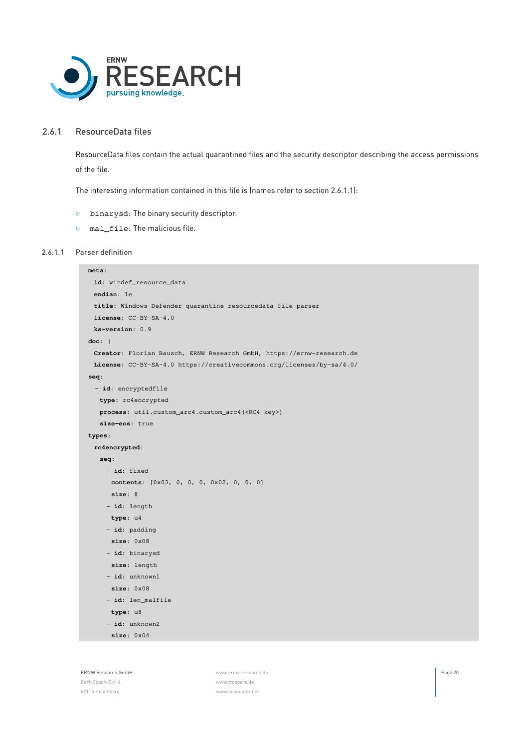

#### 2.6.1 ResourceData files

<span id="page-19-0"></span>ResourceData files contain the actual quarantined files and the security descriptor describing the access permissions of the file.

The interesting information contained in this file is (names refer to section [2.6.1.1\)](#page-19-1):

- *◦* binarysd: The binary security descriptor.
- <span id="page-19-1"></span>*◦* mal\_file: The malicious file.

#### 2.6.1.1 Parser definition

```
meta:
id: windef_resource_data
 endian: le
 title: Windows Defender quarantine resourcedata file parser
license: CC-BY-SA-4.0
 ks-version: 0.9
doc: |
 Creator: Florian Bausch, ERNW Research GmbH, https://ernw-research.de
 License: CC-BY-SA-4.0 https://creativecommons.org/licenses/by-sa/4.0/
seq:
  - id: encryptedfile
  type: rc4encrypted
  process: util.custom_arc4.custom_arc4(<RC4 key>)
   size-eos: true
types:
 rc4encrypted:
  seq:
    - id: fixed
     contents: [0x03, 0, 0, 0, 0x02, 0, 0, 0]
     size: 8
    - id: length
     type: u4
    - id: padding
     size: 0x08
    - id: binarysd
     size: length
    - id: unknown1
     size: 0x08
    - id: len_malfile
     type: u8
    - id: unknown2
      size: 0x04
```
ERNW Research GmbH [www.ernw-research.de](https://ernw-research.de) Page 20

69115 Heidelberg [www.insinuator.net](https://insinuator.net)

Carl-Bosch-Str. 4 [www.troopers.de](https://troopers.de)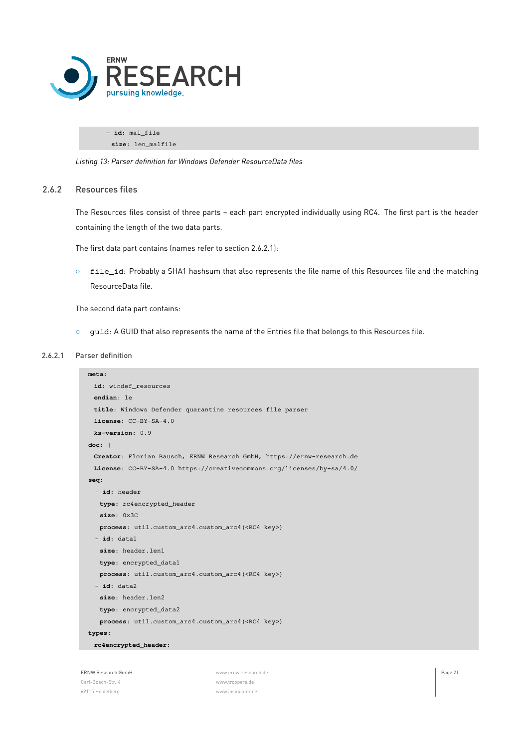

- **id**: mal\_file **size**: len\_malfile

<span id="page-20-0"></span>*Listing 13: Parser definition for Windows Defender ResourceData files*

#### 2.6.2 Resources files

The Resources files consist of three parts – each part encrypted individually using RC4. The first part is the header containing the length of the two data parts.

The first data part contains (names refer to section [2.6.2.1](#page-20-1)):

*◦* file\_id: Probably a SHA1 hashsum that also represents the file name of this Resources file and the matching ResourceData file.

The second data part contains:

<span id="page-20-1"></span>*◦* guid: A GUID that also represents the name of the Entries file that belongs to this Resources file.

#### 2.6.2.1 Parser definition

```
meta:
 id: windef_resources
 endian: le
 title: Windows Defender quarantine resources file parser
 license: CC-BY-SA-4.0
 ks-version: 0.9
doc: |
 Creator: Florian Bausch, ERNW Research GmbH, https://ernw-research.de
 License: CC-BY-SA-4.0 https://creativecommons.org/licenses/by-sa/4.0/
seq:
 - id: header
   type: rc4encrypted_header
   size: 0x3C
   process: util.custom_arc4.custom_arc4(<RC4 key>)
  - id: data1
   size: header.len1
   type: encrypted_data1
   process: util.custom_arc4.custom_arc4(<RC4 key>)
  - id: data2
   size: header.len2
   type: encrypted_data2
   process: util.custom_arc4.custom_arc4(<RC4 key>)
types:
 rc4encrypted_header:
```
ERNW Research GmbH **Page 21 Page 21 Page 21 Page 21 Page 21 Page 21 Page 21** Carl-Bosch-Str. 4 [www.troopers.de](https://troopers.de) 69115 Heidelberg [www.insinuator.net](https://insinuator.net)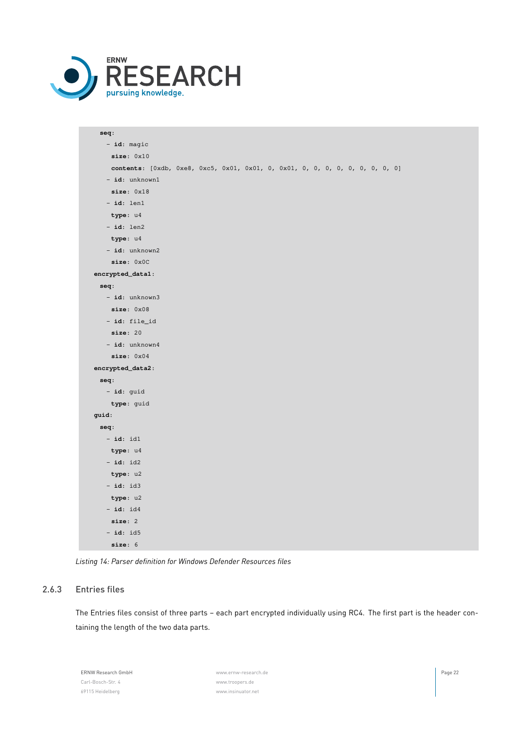

| seq:                                                                         |
|------------------------------------------------------------------------------|
| $- id: magic$                                                                |
| size: 0x10                                                                   |
| contents: [0xdb, 0xe8, 0xc5, 0x01, 0x01, 0, 0x01, 0, 0, 0, 0, 0, 0, 0, 0, 0] |
| - id: unknown1                                                               |
| size: 0x18                                                                   |
| $- id: len1$                                                                 |
| type: u4                                                                     |
| $- id: len2$                                                                 |
| type: u4                                                                     |
| $-$ id: unknown2                                                             |
| size: 0x0C                                                                   |
| encrypted_data1:                                                             |
| seq:                                                                         |
| $-$ id: unknown3                                                             |
| size: 0x08                                                                   |
| - id: file_id                                                                |
| size: 20                                                                     |
| $-$ id: unknown4                                                             |
| size: 0x04                                                                   |
| encrypted_data2:                                                             |
| seq:                                                                         |
| - id: guid                                                                   |
| type: guid                                                                   |
| guid:                                                                        |
| seq:                                                                         |
| $- id: id1$                                                                  |
| type: u4                                                                     |
| $- id: id2$                                                                  |
| type: u2                                                                     |
| $-$ id: id3                                                                  |
| type: u2                                                                     |
| $-$ id: $id4$                                                                |
| size: 2                                                                      |
| $-$ id: id5                                                                  |
| size: 6                                                                      |

<span id="page-21-0"></span>*Listing 14: Parser definition for Windows Defender Resources files*

#### 2.6.3 Entries files

The Entries files consist of three parts – each part encrypted individually using RC4. The first part is the header containing the length of the two data parts.

ERNW Research GmbH [www.ernw-research.de](https://ernw-research.de) Page 22 Carl-Bosch-Str. 4 [www.troopers.de](https://troopers.de) 69115 Heidelberg [www.insinuator.net](https://insinuator.net)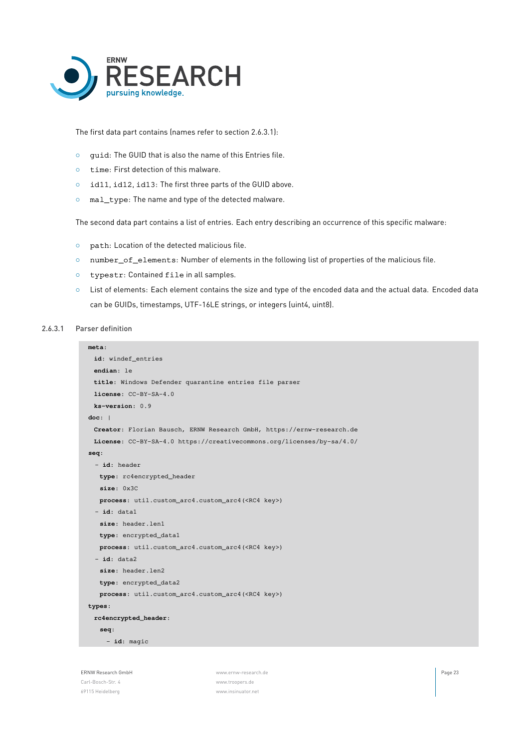

The first data part contains (names refer to section [2.6.3.1](#page-22-0)):

- *◦* guid: The GUID that is also the name of this Entries file.
- *◦* time: First detection of this malware.
- *◦* id11, id12, id13: The first three parts of the GUID above.
- *◦* mal\_type: The name and type of the detected malware.

The second data part contains a list of entries. Each entry describing an occurrence of this specific malware:

- *◦* path: Location of the detected malicious file.
- *◦* number\_of\_elements: Number of elements in the following list of properties of the malicious file.
- *◦* typestr: Contained file in all samples.

69115 Heidelberg [www.insinuator.net](https://insinuator.net)

<span id="page-22-0"></span>*◦* List of elements: Each element contains the size and type of the encoded data and the actual data. Encoded data

#### 2.6.3.1 Parser definition

```
can be GUIDs, timestamps, UTF-16LE strings, or integers (uint4, uint8).
 meta:
   id: windef_entries
   endian: le
   title: Windows Defender quarantine entries file parser
   license: CC-BY-SA-4.0
   ks-version: 0.9
  doc: |
   Creator: Florian Bausch, ERNW Research GmbH, https://ernw-research.de
  License: CC-BY-SA-4.0 https://creativecommons.org/licenses/by-sa/4.0/
  seq:
   - id: header
    type: rc4encrypted_header
    size: 0x3C
    process: util.custom_arc4.custom_arc4(<RC4 key>)
   - id: data1
    size: header.len1
    type: encrypted_data1
    process: util.custom_arc4.custom_arc4(<RC4 key>)
    - id: data2
    size: header.len2
     type: encrypted_data2
    process: util.custom_arc4.custom_arc4(<RC4 key>)
  types:
   rc4encrypted_header:
    seq:
      - id: magic
ERNW Research GmbH Page 23 Page 23 Page 23 Page 23 Page 23 Page 23 Page 23 Page 23 Page 23 Page 23
Carl-Bosch-Str. 4 www.troopers.de
```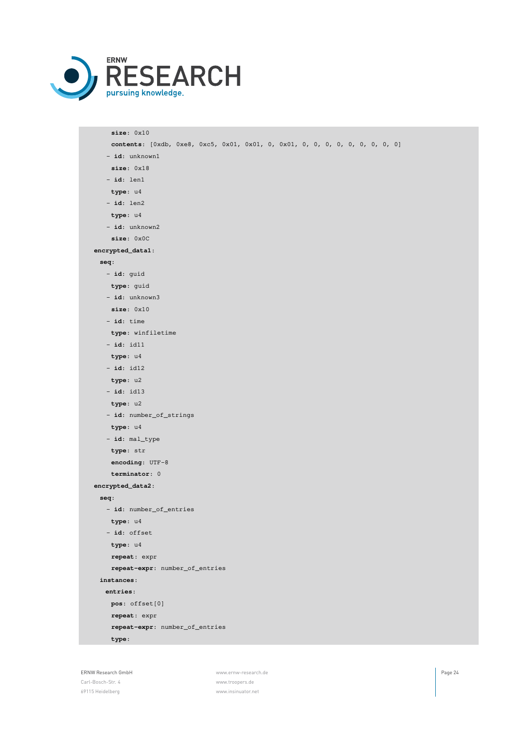

**size**: 0x10 **contents**: [0xdb, 0xe8, 0xc5, 0x01, 0x01, 0, 0x01, 0, 0, 0, 0, 0, 0, 0, 0, 0] - **id**: unknown1 **size**: 0x18 - **id**: len1 **type**: u4 - **id**: len2 **type**: u4 - **id**: unknown2 **size**: 0x0C **encrypted\_data1**: **seq**: - **id**: guid **type**: guid - **id**: unknown3 **size**: 0x10 - **id**: time **type**: winfiletime - **id**: id11 **type**: u4 - **id**: id12 **type**: u2 - **id**: id13 **type**: u2 - **id**: number\_of\_strings **type**: u4 - **id**: mal\_type **type**: str **encoding**: UTF-8 **terminator**: 0 **encrypted\_data2**: **seq**: - **id**: number\_of\_entries **type**: u4 - **id**: offset **type**: u4 **repeat**: expr **repeat-expr**: number\_of\_entries **instances**: **entries**: **pos**: offset[0] **repeat**: expr **repeat-expr**: number\_of\_entries **type**:

Carl-Bosch-Str. 4 [www.troopers.de](https://troopers.de) 69115 Heidelberg [www.insinuator.net](https://insinuator.net)

ERNW Research GmbH **Page 24 Page 24 Page 24 Page 24 Page 24 Page 24 Page 24 Page 24**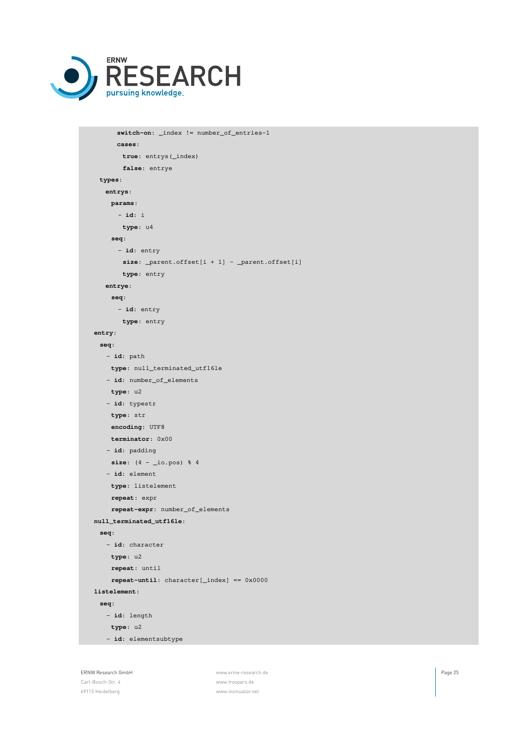

```
switch-on: _index != number_of_entries-1
     cases:
      true: entrys(_index)
      false: entrye
 types:
  entrys:
    params:
     - id: i
      type: u4
    seq:
     - id: entry
      size: _parent.offset[i + 1] - _parent.offset[i]
       type: entry
   entrye:
    seq:
      - id: entry
      type: entry
entry:
 seq:
   - id: path
   type: null_terminated_utf16le
   - id: number_of_elements
   type: u2
   - id: typestr
   type: str
   encoding: UTF8
    terminator: 0x00
   - id: padding
    size: (4 - _io.pos) % 4
   - id: element
    type: listelement
    repeat: expr
    repeat-expr: number_of_elements
null_terminated_utf16le:
 seq:
   - id: character
   type: u2
    repeat: until
    repeat-until: character[_index] == 0x0000
listelement:
 seq:
   - id: length
   type: u2
   - id: elementsubtype
```
69115 Heidelberg [www.insinuator.net](https://insinuator.net)

ERNW Research GmbH **Page 25 Page 25 Page 25 Page 25 Page 25 Page 25** Carl-Bosch-Str. 4 [www.troopers.de](https://troopers.de)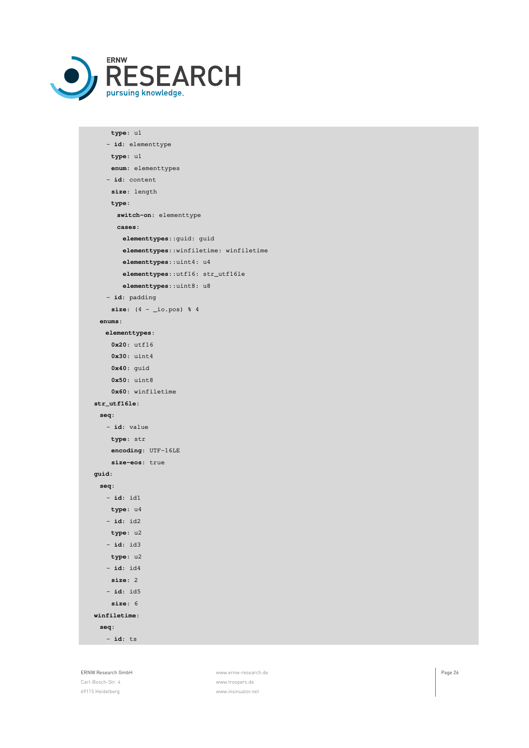

```
type: u1
   - id: elementtype
    type: u1
    enum: elementtypes
   - id: content
    size: length
    type:
     switch-on: elementtype
     cases:
      elementtypes::guid: guid
      elementtypes::winfiletime: winfiletime
      elementtypes::uint4: u4
       elementtypes::utf16: str_utf16le
       elementtypes::uint8: u8
   - id: padding
    size: (4 - _io.pos) % 4
 enums:
  elementtypes:
    0x20: utf16
   0x30: uint4
   0x40: guid
    0x50: uint8
    0x60: winfiletime
str_utf16le:
 seq:
   - id: value
   type: str
    encoding: UTF-16LE
    size-eos: true
guid:
 seq:
  - id: id1
   type: u4
  - id: id2
   type: u2
  - id: id3
   type: u2
   - id: id4
    size: 2
   - id: id5
    size: 6
winfiletime:
 seq:
   - id: ts
```
ERNW Research GmbH **Page 26 Page 26 Page 26 Page 26 Page 26 Page 26 Page 26 Page 26 Page 26** Carl-Bosch-Str. 4 [www.troopers.de](https://troopers.de) 69115 Heidelberg [www.insinuator.net](https://insinuator.net)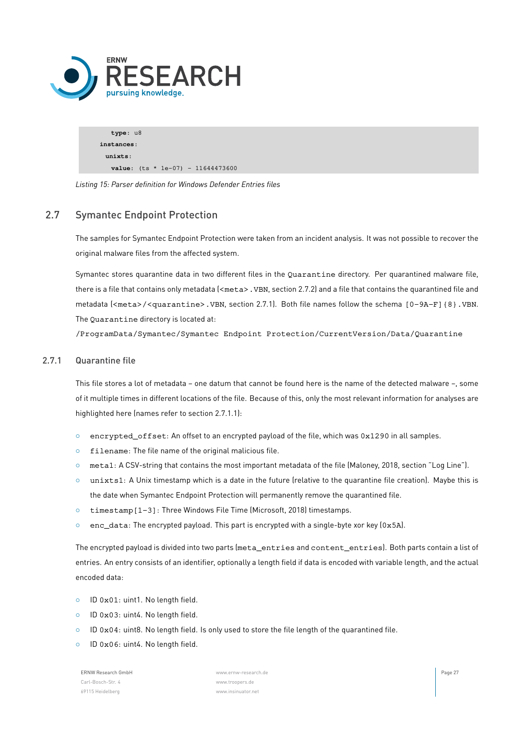

**type**: u8 **instances**: **unixts**: **value**:  $(ts * 1e-07) - 11644473600$ 

<span id="page-26-0"></span>*Listing 15: Parser definition for Windows Defender Entries files*

# 2.7 Symantec Endpoint Protection

The samples for Symantec Endpoint Protection were taken from an incident analysis. It was not possible to recover the original malware files from the affected system.

Symantec stores quarantine data in two different files in the Quarantine directory. Per quarantined malware file, there is a file that contains only metadata (<meta>. VBN, section [2.7.2](#page-30-0)) and a file that contains the quarantined file and metadata (<meta>/<quarantine>.VBN, section [2.7.1\)](#page-26-1). Both file names follow the schema [0-9A-F]{8}.VBN. The Quarantine directory is located at:

<span id="page-26-1"></span>/ProgramData/Symantec/Symantec Endpoint Protection/CurrentVersion/Data/Quarantine

#### 2.7.1 Quarantine file

This file stores a lot of metadata – one datum that cannot be found here is the name of the detected malware –, some of it multiple times in different locations of the file. Because of this, only the most relevant information for analyses are highlighted here (names refer to section [2.7.1.1](#page-27-0)):

- *◦* encrypted\_offset: An offset to an encrypted payload of the file, which was 0x1290 in all samples.
- *◦* filename: The file name of the original malicious file.
- *◦* meta1: A CSV-string that contains the most important metadata of the file (Maloney, [2018,](#page-35-6) section "Log Line").
- *◦* unixts1: A Unix timestamp which is a date in the future (relative to the quarantine file creation). Maybe this is the date when Symantec Endpoint Protection will permanently remove the quarantined file.
- *◦* timestamp[1-3]: Three Windows File Time (Microsoft, [2018\)](#page-35-10) timestamps.
- *◦* enc\_data: The encrypted payload. This part is encrypted with a single-byte xor key (0x5A).

The encrypted payload is divided into two parts (meta\_entries and content\_entries). Both parts contain a list of entries. An entry consists of an identifier, optionally a length field if data is encoded with variable length, and the actual encoded data:

- *◦* ID 0x01: uint1. No length field.
- *◦* ID 0x03: uint4. No length field.
- *◦* ID 0x04: uint8. No length field. Is only used to store the file length of the quarantined file.
- *◦* ID 0x06: uint4. No length field.

Carl-Bosch-Str. 4 [www.troopers.de](https://troopers.de) 69115 Heidelberg [www.insinuator.net](https://insinuator.net)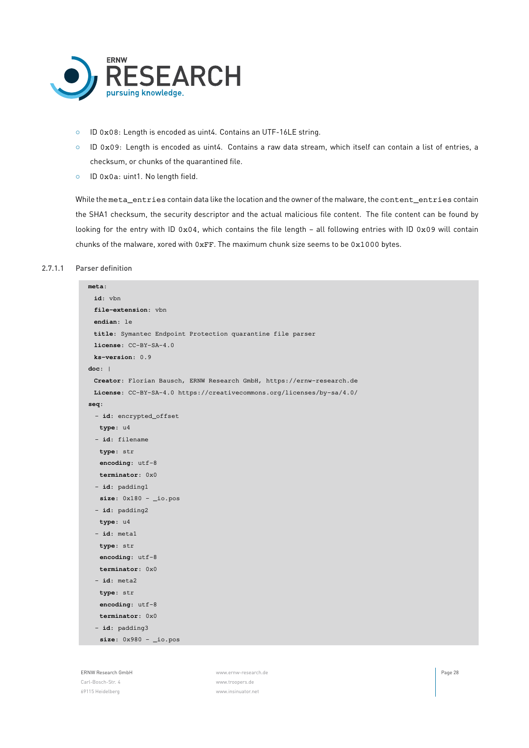

- *◦* ID 0x08: Length is encoded as uint4. Contains an UTF-16LE string.
- *◦* ID 0x09: Length is encoded as uint4. Contains a raw data stream, which itself can contain a list of entries, a checksum, or chunks of the quarantined file.
- *◦* ID 0x0a: uint1. No length field.

While the meta\_entries contain data like the location and the owner of the malware, the content\_entries contain the SHA1 checksum, the security descriptor and the actual malicious file content. The file content can be found by looking for the entry with ID 0x04, which contains the file length - all following entries with ID 0x09 will contain chunks of the malware, xored with 0xFF. The maximum chunk size seems to be 0x1000 bytes.

#### 2.7.1.1 Parser definition

<span id="page-27-0"></span>

| meta:                                                                 |
|-----------------------------------------------------------------------|
| id: vbn                                                               |
| file-extension: vbn                                                   |
| endian: le                                                            |
| title: Symantec Endpoint Protection quarantine file parser            |
| license: CC-BY-SA-4.0                                                 |
| $ks-version: 0.9$                                                     |
| doc:                                                                  |
| Creator: Florian Bausch, ERNW Research GmbH, https://ernw-research.de |
| License: CC-BY-SA-4.0 https://creativecommons.org/licenses/by-sa/4.0/ |
| seq:                                                                  |
| - id: encrypted_offset                                                |
| type: u4                                                              |
| - id: filename                                                        |
| type: str                                                             |
| encoding: $utf-8$                                                     |
| terminator: 0x0                                                       |
| - id: padding1                                                        |
| size: $0x180 - i0.pos$                                                |
| $-$ id: padding2                                                      |
| type: u4                                                              |
| $-$ id: metal                                                         |
| type: str                                                             |
| encoding: $utf-8$                                                     |
| terminator: 0x0                                                       |
| $-$ id: meta2                                                         |
| type: str                                                             |
| encoding: $utf-8$                                                     |
| terminator: 0x0                                                       |
| - id: padding3                                                        |
| $size: 0x980 - i0.pos$                                                |
|                                                                       |

Carl-Bosch-Str. 4 [www.troopers.de](https://troopers.de) 69115 Heidelberg [www.insinuator.net](https://insinuator.net)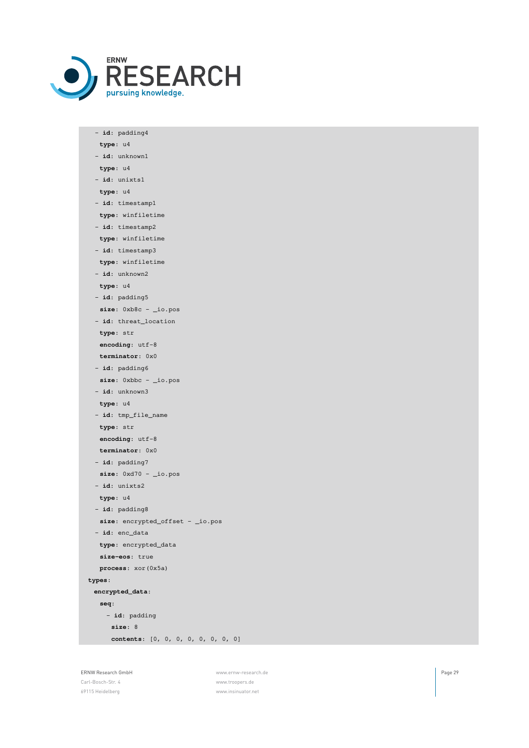

| $-$ id: padding4                         |
|------------------------------------------|
| type: u4                                 |
| - id: unknown1                           |
| type: u4                                 |
| - id: unixts1                            |
| type: u4                                 |
| - id: timestamp1                         |
| type: winfiletime                        |
| $-$ id: timestamp2                       |
| type: winfiletime                        |
| - id: timestamp3                         |
| type: winfiletime                        |
| $-$ id: unknown2                         |
| type: u4                                 |
| - id: padding5                           |
| size: $0xb8c - i0.pos$                   |
| - id: threat_location                    |
| type: str                                |
| encoding: utf-8                          |
| terminator: 0x0                          |
| - id: padding6                           |
| $size: 0xbbc - io.pos$                   |
| - id: unknown3                           |
| type: u4                                 |
| - id: tmp_file_name                      |
| type: str                                |
| encoding: utf-8                          |
| terminator: 0x0                          |
| - id: padding7                           |
| size: $0 \times d70 - i \circ p \circ s$ |
| $-$ id: unixts2                          |
| type: u4                                 |
| - id: padding8                           |
| size: $encrypted_offset - \iota$ .pos    |
| - id: enc_data                           |
| type: encrypted_data                     |
| size-eos: true                           |
| process: xor (0x5a)                      |
| types:                                   |
| encrypted_data:                          |
| seq:                                     |
| - id: padding                            |
| size: 8                                  |
| contents: [0, 0, 0, 0, 0, 0, 0, 0]       |

69115 Heidelberg [www.insinuator.net](https://insinuator.net)

ERNW Research GmbH [www.ernw-research.de](https://ernw-research.de) Page 29 Carl-Bosch-Str. 4 [www.troopers.de](https://troopers.de)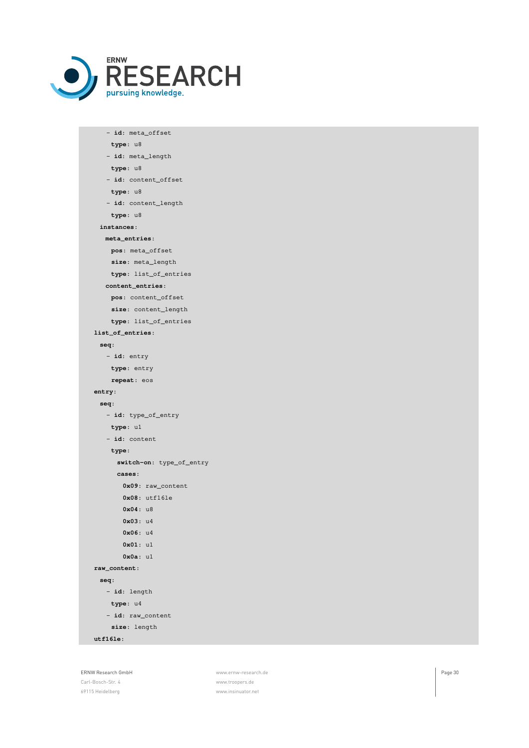

- **id**: meta\_offset **type**: u8 - **id**: meta\_length **type**: u8 - **id**: content\_offset **type**: u8 - **id**: content\_length **type**: u8 **instances**: **meta\_entries**: **pos**: meta\_offset **size**: meta\_length **type**: list\_of\_entries **content\_entries**: **pos**: content\_offset **size**: content\_length **type**: list\_of\_entries **list\_of\_entries**: **seq**: - **id**: entry **type**: entry **repeat**: eos **entry**: **seq**: - **id**: type\_of\_entry **type**: u1 - **id**: content **type**: **switch-on**: type\_of\_entry **cases**: **0x09**: raw\_content **0x08**: utf16le **0x04**: u8 **0x03**: u4 **0x06**: u4 **0x01**: u1 **0x0a**: u1 **raw\_content**: **seq**: - **id**: length **type**: u4 - **id**: raw\_content **size**: length **utf16le**:

ERNW Research GmbH [www.ernw-research.de](https://ernw-research.de) Page 30 Carl-Bosch-Str. 4 [www.troopers.de](https://troopers.de) 69115 Heidelberg [www.insinuator.net](https://insinuator.net)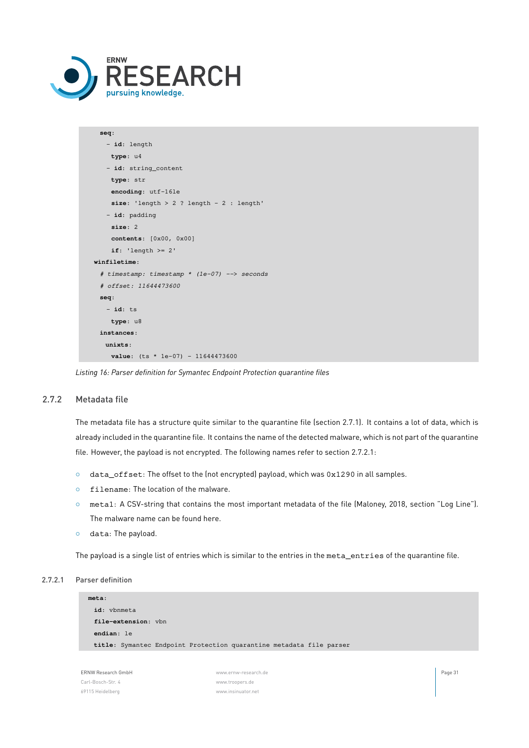

```
seq:
   - id: length
    type: u4
   - id: string_content
   type: str
    encoding: utf-16le
    size: 'length > 2 ? length - 2 : length'
   - id: padding
    size: 2
    contents: [0x00, 0x00]
    if: 'length >= 2'
winfiletime:
 # timestamp: timestamp * (1e-07) --> seconds
 # offset: 11644473600
 seq:
   - id: ts
    type: u8
 instances:
   unixts:
    value: (ts * 1e-07) - 11644473600
```
<span id="page-30-0"></span>*Listing 16: Parser definition for Symantec Endpoint Protection quarantine files*

#### 2.7.2 Metadata file

The metadata file has a structure quite similar to the quarantine file (section [2.7.1](#page-26-1)). It contains a lot of data, which is already included in the quarantine file. It contains the name of the detected malware, which is not part of the quarantine file. However, the payload is not encrypted. The following names refer to section [2.7.2.1:](#page-30-1)

- *◦* data\_offset: The offset to the (not encrypted) payload, which was 0x1290 in all samples.
- *◦* filename: The location of the malware.
- *◦* meta1: A CSV-string that contains the most important metadata of the file (Maloney, [2018](#page-35-6), section "Log Line"). The malware name can be found here.
- *◦* data: The payload.

<span id="page-30-1"></span>The payload is a single list of entries which is similar to the entries in the meta\_entries of the quarantine file.

```
2.7.2.1 Parser definition
```


| ERNW Research GmbH | www.ernw-research.de | Page 31 |
|--------------------|----------------------|---------|
| Carl-Bosch-Str. 4  | www.troopers.de      |         |
| 69115 Heidelberg   | www.insinuator.net   |         |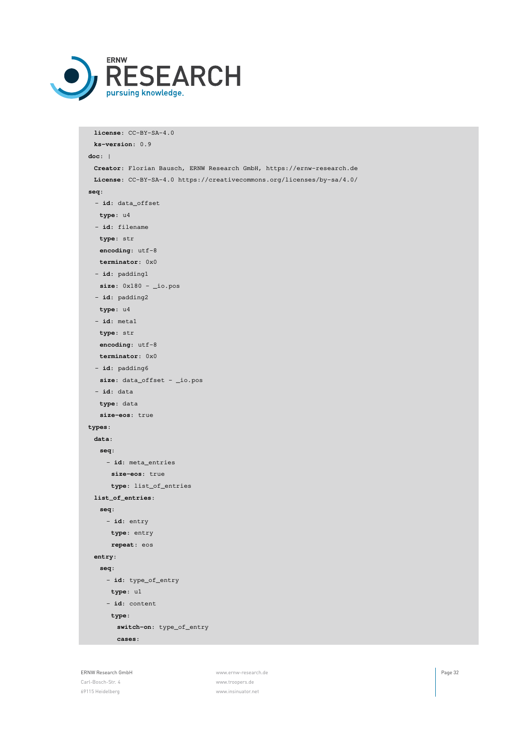

```
license: CC-BY-SA-4.0
 ks-version: 0.9
doc: |
 Creator: Florian Bausch, ERNW Research GmbH, https://ernw-research.de
 License: CC-BY-SA-4.0 https://creativecommons.org/licenses/by-sa/4.0/
seq:
 - id: data_offset
  type: u4
 - id: filename
  type: str
  encoding: utf-8
  terminator: 0x0
 - id: padding1
  size: 0x180 - _io.pos
 - id: padding2
  type: u4
 - id: meta1
  type: str
  encoding: utf-8
  terminator: 0x0
 - id: padding6
  size: data_offset - _io.pos
 - id: data
  type: data
  size-eos: true
types:
 data:
  seq:
   - id: meta_entries
     size-eos: true
     type: list_of_entries
 list_of_entries:
  seq:
    - id: entry
     type: entry
     repeat: eos
 entry:
  seq:
    - id: type_of_entry
     type: u1
    - id: content
     type:
       switch-on: type_of_entry
      cases:
```
69115 Heidelberg [www.insinuator.net](https://insinuator.net)

ERNW Research GmbH **Page 32 ERNW Research GmbH** Page 32 Carl-Bosch-Str. 4 [www.troopers.de](https://troopers.de)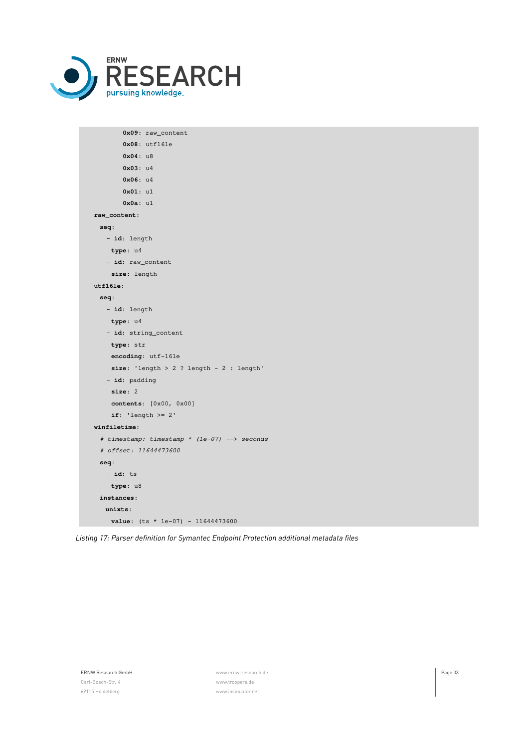

| 0x09: raw_content                            |
|----------------------------------------------|
| $0x08:$ utf16le                              |
| 0x04: u8                                     |
| 0x03: u4                                     |
| 0x06: u4                                     |
| 0x01: u1                                     |
| 0x0a: u1                                     |
| raw_content:                                 |
| seq:                                         |
| - id: length                                 |
| type: u4                                     |
| - id: raw_content                            |
| size: length                                 |
| utf16le:                                     |
| seq:                                         |
| - id: length                                 |
| type: u4                                     |
| - id: string_content                         |
| type: str                                    |
| encoding: utf-16le                           |
| size: 'length > $2$ ? length - $2$ : length' |
| - id: padding                                |
| size: 2                                      |
| contents: [0x00, 0x00]                       |
| if: 'length $>= 2'$                          |
| winfiletime:                                 |
| # timestamp: timestamp * (1e-07) --> seconds |
| # offset: 11644473600                        |
| seq:                                         |
| $-$ id: ts                                   |
| type: u8                                     |
| instances:                                   |
| units:                                       |
| value: $(ts * 1e-07) - 11644473600$          |
|                                              |

*Listing 17: Parser definition for Symantec Endpoint Protection additional metadata files*

ERNW Research GmbH **Page 33**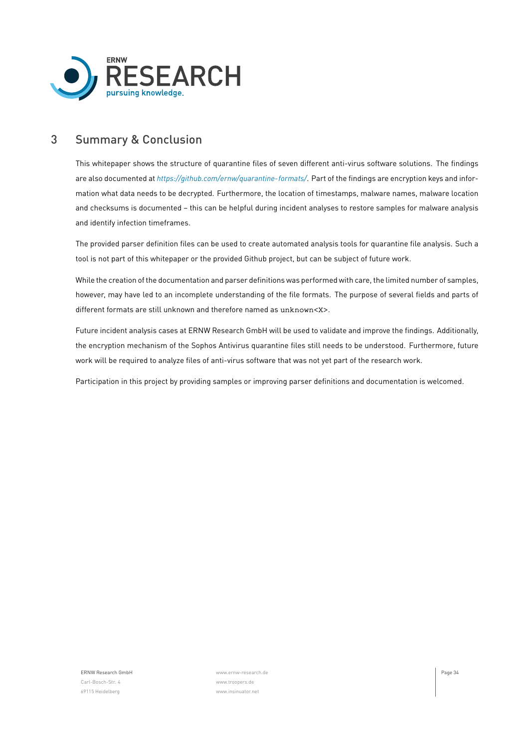

# <span id="page-33-0"></span>3 Summary & Conclusion

This whitepaper shows the structure of quarantine files of seven different anti-virus software solutions. The findings are also documented at *<https://github.com/ernw/quarantine-formats/>*. Part of the findings are encryption keys and information what data needs to be decrypted. Furthermore, the location of timestamps, malware names, malware location and checksums is documented – this can be helpful during incident analyses to restore samples for malware analysis and identify infection timeframes.

The provided parser definition files can be used to create automated analysis tools for quarantine file analysis. Such a tool is not part of this whitepaper or the provided Github project, but can be subject of future work.

While the creation of the documentation and parser definitions was performed with care, the limited number of samples, however, may have led to an incomplete understanding of the file formats. The purpose of several fields and parts of different formats are still unknown and therefore named as unknown<X>.

Future incident analysis cases at ERNW Research GmbH will be used to validate and improve the findings. Additionally, the encryption mechanism of the Sophos Antivirus quarantine files still needs to be understood. Furthermore, future work will be required to analyze files of anti-virus software that was not yet part of the research work.

Participation in this project by providing samples or improving parser definitions and documentation is welcomed.

Carl-Bosch-Str. 4 [www.troopers.de](https://troopers.de) 69115 Heidelberg [www.insinuator.net](https://insinuator.net)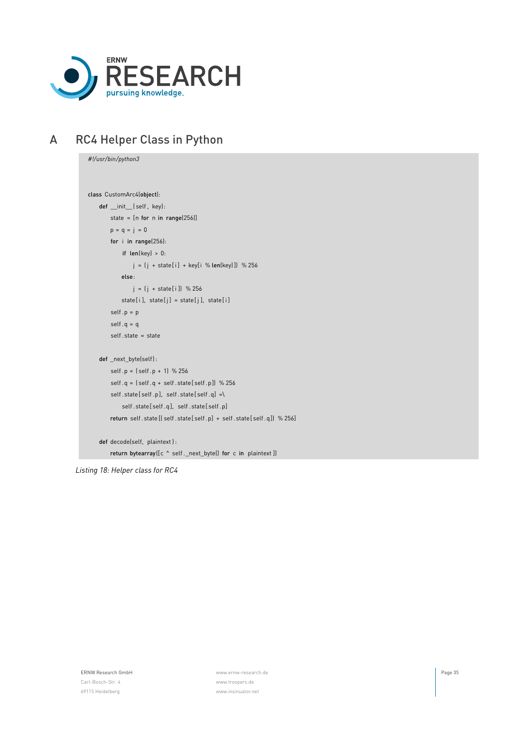

# <span id="page-34-0"></span>A RC4 Helper Class in Python

```
#!/usr/bin/python3
class CustomArc4(object):
   def __init__( self, key):
       state = [n for n in range(256)]
       p = q = j = 0for i in range(256):
            if len(key) > 0:
                j = (j + state[i] + key[i \% len(key)]) % 256
            else:
                j = (j + state[i]) % 256state[i], state[j] = state[j], state[i]
        self.p = pself.q = qself .state = state
   def _next_byte(self) :
        self .p = ( self .p + 1) % 256
        self .q = ( self .q + self .state[ self .p]) % 256
        self.state[self.p], self.state[self.q] =\
            self .state[ self .q], self .state[ self .p]
        return self .state [( self .state[ self .p] + self .state[ self .q]) % 256]
   def decode(self, plaintext ) :
        return bytearray([c ^ self._next_byte() for c in plaintext])
```
*Listing 18: Helper class for RC4*

Carl-Bosch-Str. 4 [www.troopers.de](https://troopers.de)

ERNW Research GmbH [www.ernw-research.de](https://ernw-research.de) Page 35 69115 Heidelberg [www.insinuator.net](https://insinuator.net)